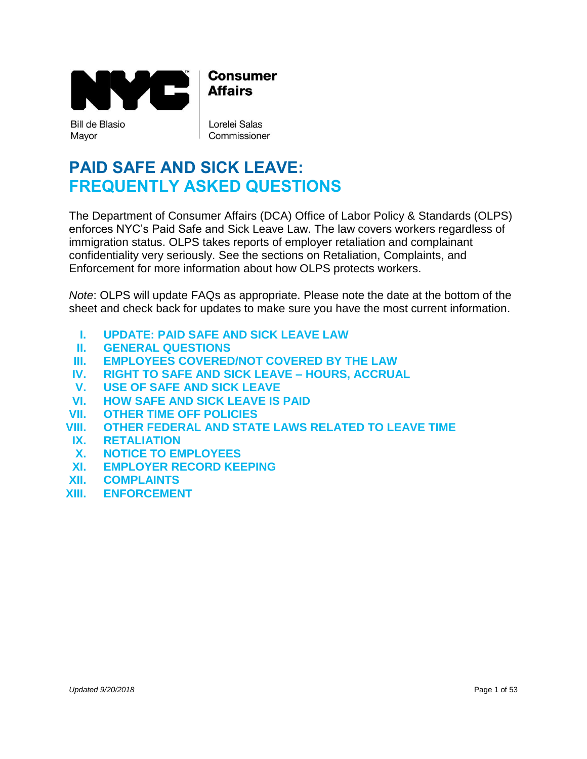

**Bill de Blasio** Mayor

**Affairs** 

**Consumer** 

Lorelei Salas Commissioner

# **PAID SAFE AND SICK LEAVE: FREQUENTLY ASKED QUESTIONS**

The Department of Consumer Affairs (DCA) Office of Labor Policy & Standards (OLPS) enforces NYC's Paid Safe and Sick Leave Law. The law covers workers regardless of immigration status. OLPS takes reports of employer retaliation and complainant confidentiality very seriously. See the sections on Retaliation, Complaints, and Enforcement for more information about how OLPS protects workers.

*Note*: OLPS will update FAQs as appropriate. Please note the date at the bottom of the sheet and check back for updates to make sure you have the most current information.

- **I. [UPDATE: PAID SAFE AND SICK LEAVE LAW](#page-1-0)**
- **II. [GENERAL QUESTIONS](#page-5-0)**
- **III. [EMPLOYEES COVERED/NOT COVERED BY THE LAW](#page-11-0)**
- **IV. [RIGHT TO SAFE AND SICK LEAVE –](#page-17-0) HOURS, ACCRUAL**
- **V. [USE OF SAFE AND SICK LEAVE](#page-23-0)**
- **VI. [HOW SAFE AND SICK LEAVE IS PAID](#page-37-0)**
- **VII. [OTHER TIME OFF POLICIES](#page-40-0)**
- **VIII. [OTHER FEDERAL AND STATE LAWS RELATED TO LEAVE TIME](#page-43-0)**
- **IX. [RETALIATION](#page-44-0)**
- **X. [NOTICE TO EMPLOYEES](#page-45-0)**
- **XI. [EMPLOYER RECORD KEEPING](#page-47-0)**
- **XII. [COMPLAINTS](#page-48-0)**
- **XIII. [ENFORCEMENT](#page-49-0)**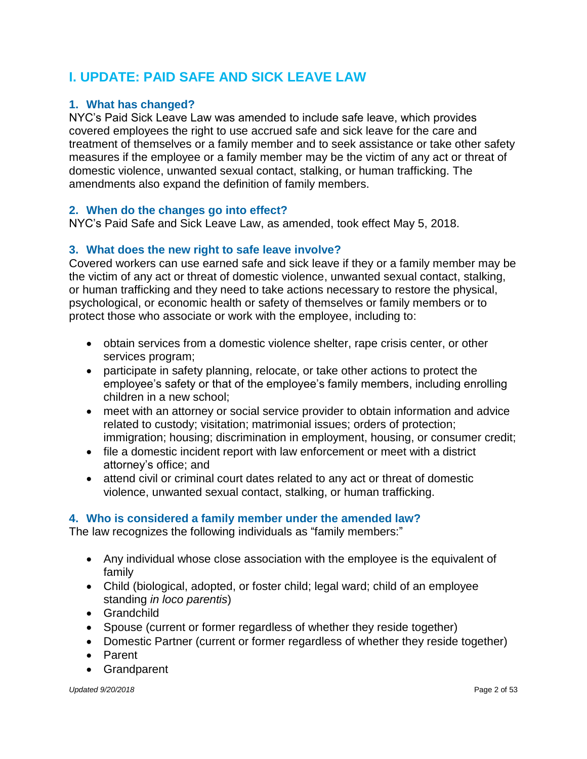## <span id="page-1-0"></span>**I. UPDATE: PAID SAFE AND SICK LEAVE LAW**

### **1. What has changed?**

NYC's Paid Sick Leave Law was amended to include safe leave, which provides covered employees the right to use accrued safe and sick leave for the care and [treatment of themselves or a family member and to seek assistance or take other safety](#page-4-0)  measures if the employee or a family member may be the victim of any act or threat of domestic violence, unwanted sexual contact, stalking, or human trafficking. The amendments also expand the definition of family members.

### **2. When do the changes go into effect?**

NYC's Paid Safe and Sick Leave Law, as amended, took effect May 5, 2018.

### **3. What does the new right to safe leave involve?**

Covered workers can use earned safe and sick leave if they or a family member may be the victim of any act or threat of domestic violence, unwanted sexual contact, stalking, or human trafficking and they need to take actions necessary to restore the physical, psychological, or economic health or safety of themselves or family members or to protect those who associate or work with the employee, including to:

- obtain services from a domestic violence shelter, rape crisis center, or other services program;
- participate in safety planning, relocate, or take other actions to protect the employee's safety or that of the employee's family members, including enrolling children in a new school;
- meet with an attorney or social service provider to obtain information and advice related to custody; visitation; matrimonial issues; orders of protection; immigration; housing; discrimination in employment, housing, or consumer credit;
- file a domestic incident report with law enforcement or meet with a district attorney's office; and
- attend civil or criminal court dates related to any act or threat of domestic violence, unwanted sexual contact, stalking, or human trafficking.

#### **4. Who is considered a family member under the amended law?**

The law recognizes the following individuals as "family members:"

- Any individual whose close association with the employee is the equivalent of family
- Child (biological, adopted, or foster child; legal ward; child of an employee standing *in loco parentis*)
- Grandchild
- Spouse (current or former regardless of whether they reside together)
- Domestic Partner (current or former regardless of whether they reside together)
- Parent
- Grandparent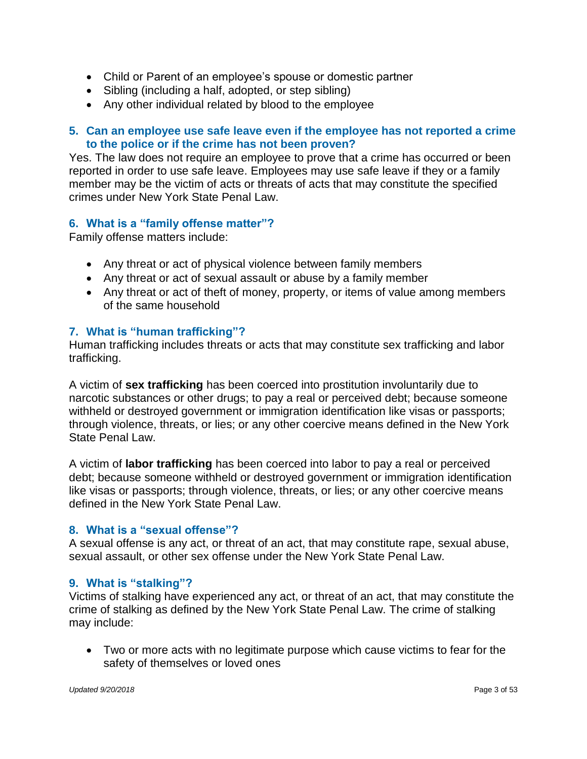- Child or Parent of an employee's spouse or domestic partner
- Sibling (including a half, adopted, or step sibling)
- Any other individual related by blood to the employee

### **5. Can an employee use safe leave even if the employee has not reported a crime to the police or if the crime has not been proven?**

Yes. The law does not require an employee to prove that a crime has occurred or been reported in order to use safe leave. Employees may use safe leave if they or a family member may be the victim of acts or threats of acts that may constitute the specified crimes under New York State Penal Law.

### **6. What is a "family offense matter"?**

Family offense matters include:

- Any threat or act of physical violence between family members
- Any threat or act of sexual assault or abuse by a family member
- Any threat or act of theft of money, property, or items of value among members of the same household

### **7. What is "human trafficking"?**

Human trafficking includes threats or acts that may constitute sex trafficking and labor trafficking.

A victim of **sex trafficking** has been coerced into prostitution involuntarily due to narcotic substances or other drugs; to pay a real or perceived debt; because someone withheld or destroyed government or immigration identification like visas or passports; through violence, threats, or lies; or any other coercive means defined in the New York State Penal Law.

A victim of **labor trafficking** has been coerced into labor to pay a real or perceived debt; because someone withheld or destroyed government or immigration identification like visas or passports; through violence, threats, or lies; or any other coercive means defined in the New York State Penal Law.

#### **8. What is a "sexual offense"?**

A sexual offense is any act, or threat of an act, that may constitute rape, sexual abuse, sexual assault, or other sex offense under the New York State Penal Law.

#### **9. What is "stalking"?**

Victims of stalking have experienced any act, or threat of an act, that may constitute the crime of stalking as defined by the New York State Penal Law. The crime of stalking may include:

• Two or more acts with no legitimate purpose which cause victims to fear for the safety of themselves or loved ones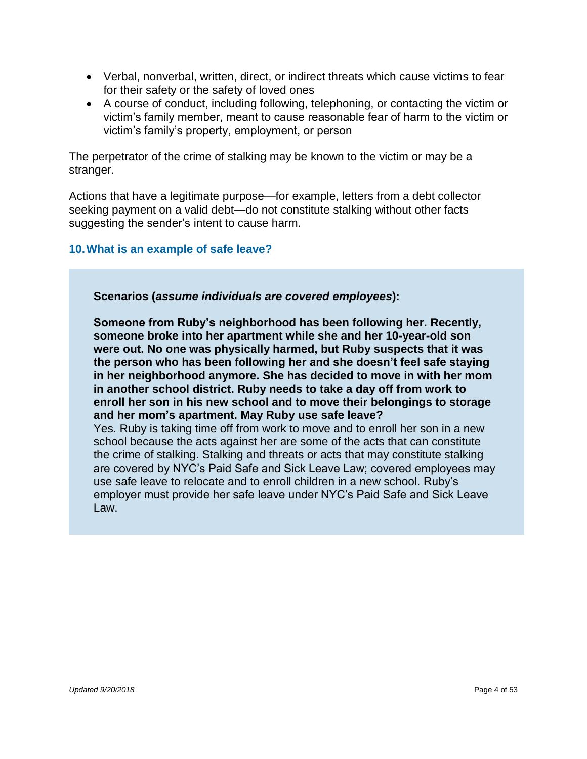- Verbal, nonverbal, written, direct, or indirect threats which cause victims to fear for their safety or the safety of loved ones
- A course of conduct, including following, telephoning, or contacting the victim or victim's family member, meant to cause reasonable fear of harm to the victim or victim's family's property, employment, or person

The perpetrator of the crime of stalking may be known to the victim or may be a stranger.

Actions that have a legitimate purpose—for example, letters from a debt collector seeking payment on a valid debt—do not constitute stalking without other facts suggesting the sender's intent to cause harm.

### **10.What is an example of safe leave?**

#### **Scenarios (***assume individuals are covered employees***):**

**Someone from Ruby's neighborhood has been following her. Recently, someone broke into her apartment while she and her 10-year-old son were out. No one was physically harmed, but Ruby suspects that it was the person who has been following her and she doesn't feel safe staying in her neighborhood anymore. She has decided to move in with her mom in another school district. Ruby needs to take a day off from work to enroll her son in his new school and to move their belongings to storage and her mom's apartment. May Ruby use safe leave?**

Yes. Ruby is taking time off from work to move and to enroll her son in a new school because the acts against her are some of the acts that can constitute the crime of stalking. Stalking and threats or acts that may constitute stalking are covered by NYC's Paid Safe and Sick Leave Law; covered employees may use safe leave to relocate and to enroll children in a new school. Ruby's employer must provide her safe leave under NYC's Paid Safe and Sick Leave Law.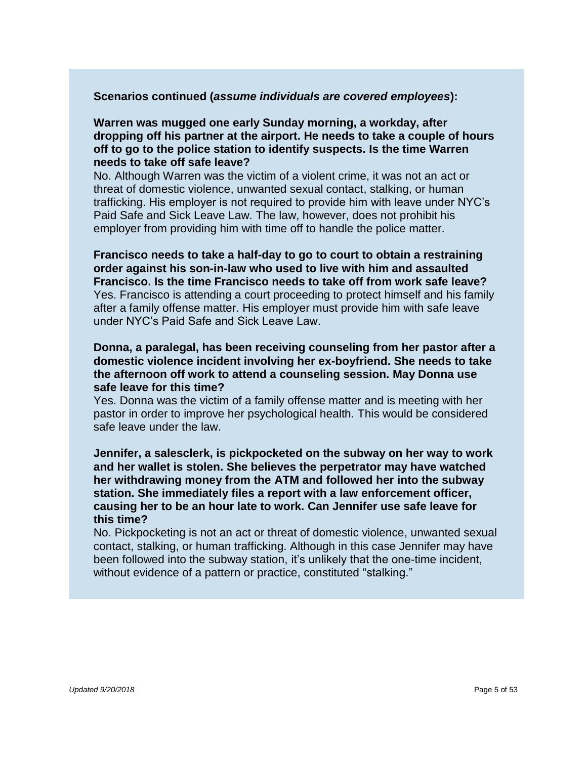### <span id="page-4-0"></span>**Scenarios continued (***assume individuals are covered employees***):**

### **Warren was mugged one early Sunday morning, a workday, after dropping off his partner at the airport. He needs to take a couple of hours off to go to the police station to identify suspects. Is the time Warren needs to take off safe leave?**

No. Although Warren was the victim of a violent crime, it was not an act or threat of domestic violence, unwanted sexual contact, stalking, or human trafficking. His employer is not required to provide him with leave under NYC's Paid Safe and Sick Leave Law. The law, however, does not prohibit his employer from providing him with time off to handle the police matter.

**Francisco needs to take a half-day to go to court to obtain a restraining order against his son-in-law who used to live with him and assaulted Francisco. Is the time Francisco needs to take off from work safe leave?** Yes. Francisco is attending a court proceeding to protect himself and his family after a family offense matter. His employer must provide him with safe leave under NYC's Paid Safe and Sick Leave Law.

### **[Donna, a paralegal, has been receiving counseling from her pastor after a](#page-1-0)  domestic violence incident involving her ex-boyfriend. She needs to take the afternoon off work to attend a counseling session. May Donna use safe leave for this time?**

Yes. Donna was the victim of a family offense matter and is meeting with her pastor in order to improve her psychological health. This would be considered safe leave under the law.

**Jennifer, a salesclerk, is pickpocketed on the subway on her way to work and her wallet is stolen. She believes the perpetrator may have watched her withdrawing money from the ATM and followed her into the subway station. She immediately files a report with a law enforcement officer, causing her to be an hour late to work. Can Jennifer use safe leave for this time?**

No. Pickpocketing is not an act or threat of domestic violence, unwanted sexual contact, stalking, or human trafficking. Although in this case Jennifer may have been followed into the subway station, it's unlikely that the one-time incident, without evidence of a pattern or practice, constituted "stalking."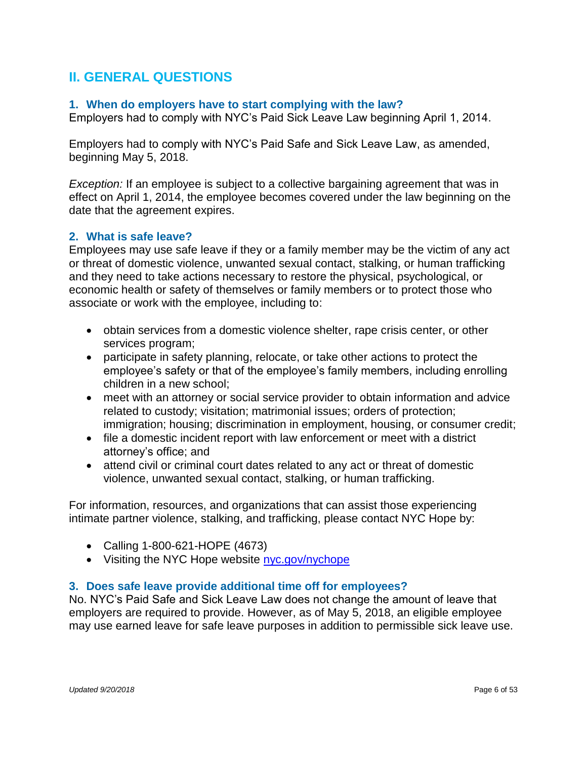## <span id="page-5-0"></span>**II. GENERAL QUESTIONS**

### **1. When do employers have to start complying with the law?**

Employers had to comply with NYC's Paid Sick Leave Law beginning April 1, 2014.

Employers had to comply with NYC's Paid Safe and Sick Leave Law, as amended, beginning May 5, 2018.

*Exception:* If an employee is subject to a collective bargaining agreement that was in effect on April 1, 2014, the employee becomes covered under the law beginning on the date that the agreement expires.

### **2. What is safe leave?**

Employees may use safe leave if they or a family member may be the victim of any act or threat of domestic violence, unwanted sexual contact, stalking, or human trafficking and they need to take actions necessary to restore the physical, psychological, or economic health or safety of themselves or family members or to protect those who associate or work with the employee, including to:

- obtain services from a domestic violence shelter, rape crisis center, or other services program;
- participate in safety planning, relocate, or take other actions to protect the employee's safety or that of the employee's family members, including enrolling children in a new school;
- meet with an attorney or social service provider to obtain information and advice related to custody; visitation; matrimonial issues; orders of protection; immigration; housing; discrimination in employment, housing, or consumer credit;
- file a domestic incident report with law enforcement or meet with a district attorney's office; and
- attend civil or criminal court dates related to any act or threat of domestic violence, unwanted sexual contact, stalking, or human trafficking.

For information, resources, and organizations that can assist those experiencing intimate partner violence, stalking, and trafficking, please contact NYC Hope by:

- Calling 1-800-621-HOPE (4673)
- Visiting the NYC Hope website [nyc.gov/nychope](https://www1.nyc.gov/nychope/site/page/home)

#### **3. Does safe leave provide additional time off for employees?**

No. NYC's Paid Safe and Sick Leave Law does not change the amount of leave that employers are required to provide. However, as of May 5, 2018, an eligible employee may use earned leave for safe leave purposes in addition to permissible sick leave use.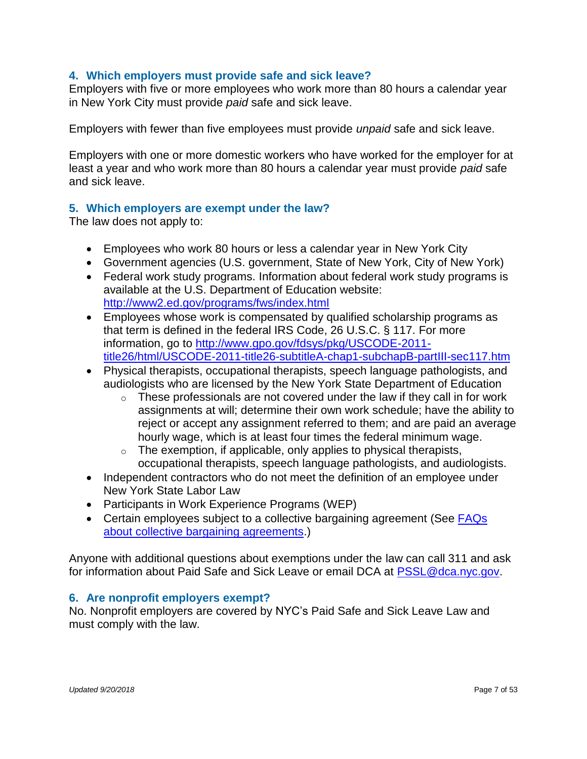### **4. Which employers must provide safe and sick leave?**

Employers with five or more employees who work more than 80 hours a calendar year in New York City must provide *paid* safe and sick leave.

Employers with fewer than five employees must provide *unpaid* safe and sick leave.

Employers with one or more domestic workers who have worked for the employer for at least a year and who work more than 80 hours a calendar year must provide *paid* safe and sick leave.

### **5. Which employers are exempt under the law?**

The law does not apply to:

- Employees who work 80 hours or less a calendar year in New York City
- Government agencies (U.S. government, State of New York, City of New York)
- Federal work study programs. Information about federal work study programs is available at the U.S. Department of Education website: <http://www2.ed.gov/programs/fws/index.html>
- Employees whose work is compensated by qualified scholarship programs as that term is defined in the federal IRS Code, 26 U.S.C. § 117. For more information, go to [http://www.gpo.gov/fdsys/pkg/USCODE-2011](http://www.gpo.gov/fdsys/pkg/USCODE-2011-title26/html/USCODE-2011-title26-subtitleA-chap1-subchapB-partIII-sec117.htm) [title26/html/USCODE-2011-title26-subtitleA-chap1-subchapB-partIII-sec117.htm](http://www.gpo.gov/fdsys/pkg/USCODE-2011-title26/html/USCODE-2011-title26-subtitleA-chap1-subchapB-partIII-sec117.htm)
- Physical therapists, occupational therapists, speech language pathologists, and audiologists who are licensed by the New York State Department of Education
	- $\circ$  These professionals are not covered under the law if they call in for work assignments at will; determine their own work schedule; have the ability to reject or accept any assignment referred to them; and are paid an average hourly wage, which is at least four times the federal minimum wage.
	- $\circ$  The exemption, if applicable, only applies to physical therapists, occupational therapists, speech language pathologists, and audiologists.
- Independent contractors who do not meet the definition of an employee under New York State Labor Law
- Participants in Work Experience Programs (WEP)
- Certain employees subject to a collective bargaining agreement (See FAQs [about collective bargaining agreements.](#page-16-0))

Anyone with additional questions about exemptions under the law can call 311 and ask for information about Paid Safe and Sick Leave or email DCA at [PSSL@dca.nyc.gov.](mailto:PSSL@dca.nyc.gov)

#### **6. Are nonprofit employers exempt?**

No. Nonprofit employers are covered by NYC's Paid Safe and Sick Leave Law and must comply with the law.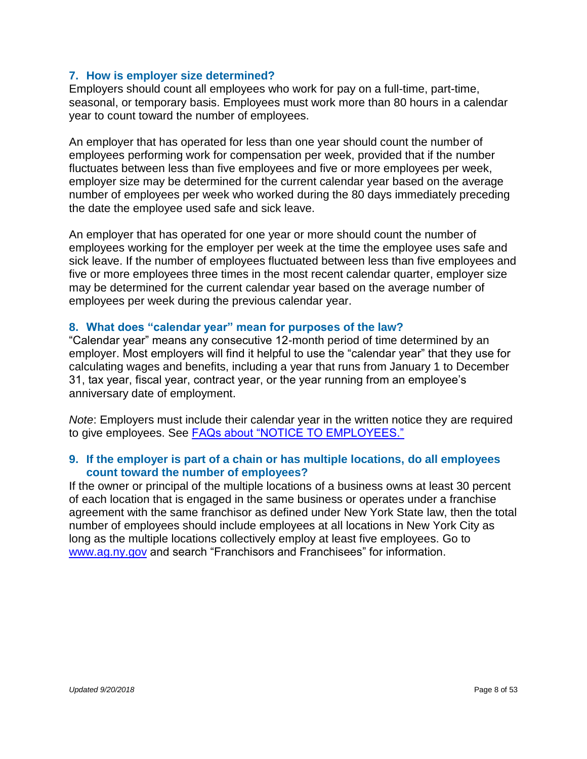### **7. How is employer size determined?**

Employers should count all employees who work for pay on a full-time, part-time, seasonal, or temporary basis. Employees must work more than 80 hours in a calendar year to count toward the number of employees.

An employer that has operated for less than one year should count the number of employees performing work for compensation per week, provided that if the number fluctuates between less than five employees and five or more employees per week, employer size may be determined for the current calendar year based on the average number of employees per week who worked during the 80 days immediately preceding the date the employee used safe and sick leave.

An employer that has operated for one year or more should count the number of employees working for the employer per week at the time the employee uses safe and sick leave. If the number of employees fluctuated between less than five employees and five or more employees three times in the most recent calendar quarter, employer size may be determined for the current calendar year based on the average number of employees per week during the previous calendar year.

### **8. What does "calendar year" mean for purposes of the law?**

"Calendar year" means any consecutive 12-month period of time determined by an employer. Most employers will find it helpful to use the "calendar year" that they use for calculating wages and benefits, including a year that runs from January 1 to December 31, tax year, fiscal year, contract year, or the year running from an employee's anniversary date of employment.

*Note*: Employers must include their calendar year in the written notice they are required to give employees. See [FAQs about "NOTICE TO EMPLOYEES."](#page-45-1)

#### **9. If the employer is part of a chain or has multiple locations, do all employees count toward the number of employees?**

If the owner or principal of the multiple locations of a business owns at least 30 percent of each location that is engaged in the same business or operates under a franchise agreement with the same franchisor as defined under New York State law, then the total number of employees should include employees at all locations in New York City as long as the multiple locations collectively employ at least five employees. Go to [www.ag.ny.gov](http://www.ag.ny.gov/) and search "Franchisors and Franchisees" for information.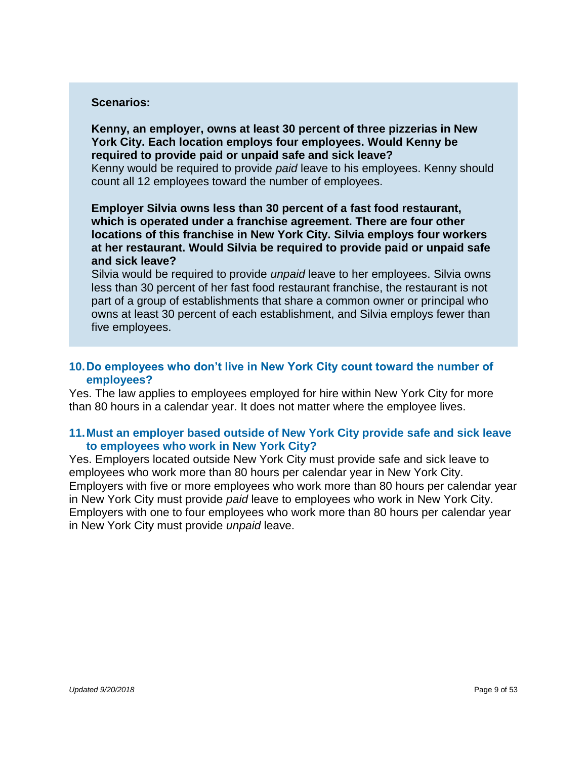#### **Scenarios:**

**Kenny, an employer, owns at least 30 percent of three pizzerias in New York City. Each location employs four employees. Would Kenny be required to provide paid or unpaid safe and sick leave?** 

Kenny would be required to provide *paid* leave to his employees. Kenny should count all 12 employees toward the number of employees.

**Employer Silvia owns less than 30 percent of a fast food restaurant, which is operated under a franchise agreement. There are four other locations of this franchise in New York City. Silvia employs four workers at her restaurant. Would Silvia be required to provide paid or unpaid safe and sick leave?**

Silvia would be required to provide *unpaid* leave to her employees. Silvia owns less than 30 percent of her fast food restaurant franchise, the restaurant is not part of a group of establishments that share a common owner or principal who owns at least 30 percent of each establishment, and Silvia employs fewer than five employees.

#### **10.Do employees who don't live in New York City count toward the number of employees?**

Yes. The law applies to employees employed for hire within New York City for more than 80 hours in a calendar year. It does not matter where the employee lives.

#### **11.Must an employer based outside of New York City provide safe and sick leave to employees who work in New York City?**

Yes. Employers located outside New York City must provide safe and sick leave to employees who work more than 80 hours per calendar year in New York City. Employers with five or more employees who work more than 80 hours per calendar year in New York City must provide *paid* leave to employees who work in New York City. Employers with one to four employees who work more than 80 hours per calendar year in New York City must provide *unpaid* leave.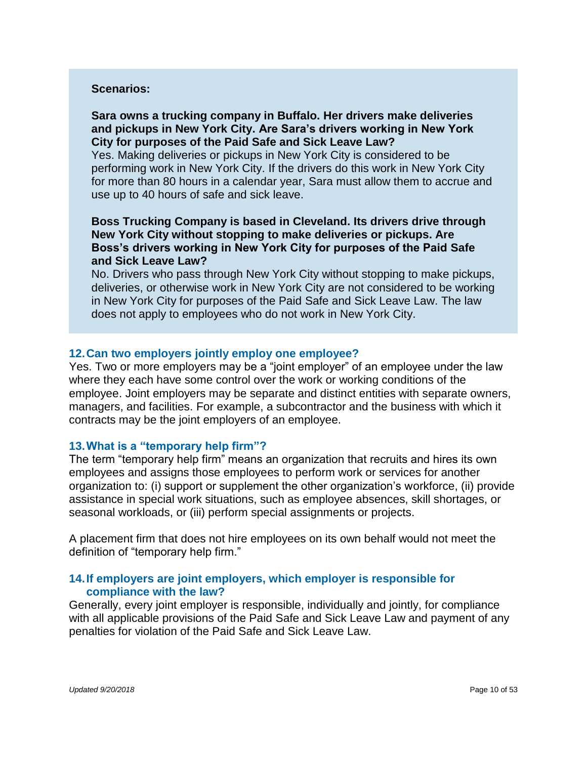#### **Scenarios:**

**Sara owns a trucking company in Buffalo. Her drivers make deliveries and pickups in New York City. Are Sara's drivers working in New York City for purposes of the Paid Safe and Sick Leave Law?** 

Yes. Making deliveries or pickups in New York City is considered to be performing work in New York City. If the drivers do this work in New York City for more than 80 hours in a calendar year, Sara must allow them to accrue and use up to 40 hours of safe and sick leave.

**Boss Trucking Company is based in Cleveland. Its drivers drive through New York City without stopping to make deliveries or pickups. Are Boss's drivers working in New York City for purposes of the Paid Safe and Sick Leave Law?** 

No. Drivers who pass through New York City without stopping to make pickups, deliveries, or otherwise work in New York City are not considered to be working in New York City for purposes of the Paid Safe and Sick Leave Law. The law does not apply to employees who do not work in New York City.

#### <span id="page-9-0"></span>**12.Can two employers jointly employ one employee?**

Yes. Two or more employers may be a "joint employer" of an employee under the law where they each have some control over the work or working conditions of the employee. Joint employers may be separate and distinct entities with separate owners, managers, and facilities. For example, a subcontractor and the business with which it contracts may be the joint employers of an employee.

#### **13.What is a "temporary help firm"?**

The term "temporary help firm" means an organization that recruits and hires its own employees and assigns those employees to perform work or services for another organization to: (i) support or supplement the other organization's workforce, (ii) provide assistance in special work situations, such as employee absences, skill shortages, or seasonal workloads, or (iii) perform special assignments or projects.

A placement firm that does not hire employees on its own behalf would not meet the definition of "temporary help firm."

#### **14.If employers are joint employers, which employer is responsible for compliance with the law?**

Generally, every joint employer is responsible, individually and jointly, for compliance with all applicable provisions of the Paid Safe and Sick Leave Law and payment of any penalties for violation of the Paid Safe and Sick Leave Law.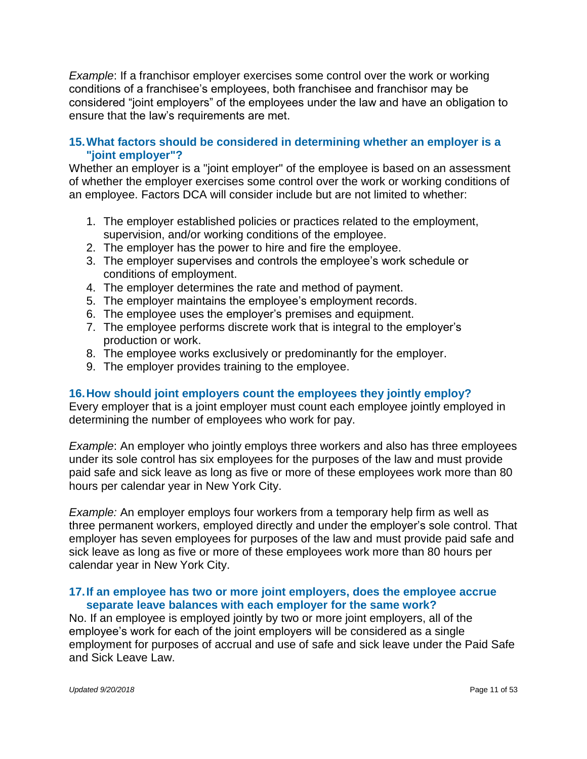*Example*: If a franchisor employer exercises some control over the work or working conditions of a franchisee's employees, both franchisee and franchisor may be considered "joint employers" of the employees under the law and have an obligation to ensure that the law's requirements are met.

### **15.What factors should be considered in determining whether an employer is a "joint employer"?**

Whether an employer is a "joint employer" of the employee is based on an assessment of whether the employer exercises some control over the work or working conditions of an employee. Factors DCA will consider include but are not limited to whether:

- 1. The employer established policies or practices related to the employment, supervision, and/or working conditions of the employee.
- 2. The employer has the power to hire and fire the employee.
- 3. The employer supervises and controls the employee's work schedule or conditions of employment.
- 4. The employer determines the rate and method of payment.
- 5. The employer maintains the employee's employment records.
- 6. The employee uses the employer's premises and equipment.
- 7. The employee performs discrete work that is integral to the employer's production or work.
- 8. The employee works exclusively or predominantly for the employer.
- 9. The employer provides training to the employee.

### **16.How should joint employers count the employees they jointly employ?**

Every employer that is a joint employer must count each employee jointly employed in determining the number of employees who work for pay.

*Example*: An employer who jointly employs three workers and also has three employees under its sole control has six employees for the purposes of the law and must provide paid safe and sick leave as long as five or more of these employees work more than 80 hours per calendar year in New York City.

*Example:* An employer employs four workers from a temporary help firm as well as three permanent workers, employed directly and under the employer's sole control. That employer has seven employees for purposes of the law and must provide paid safe and sick leave as long as five or more of these employees work more than 80 hours per calendar year in New York City.

#### **17.If an employee has two or more joint employers, does the employee accrue separate leave balances with each employer for the same work?**

No. If an employee is employed jointly by two or more joint employers, all of the employee's work for each of the joint employers will be considered as a single employment for purposes of accrual and use of safe and sick leave under the Paid Safe and Sick Leave Law.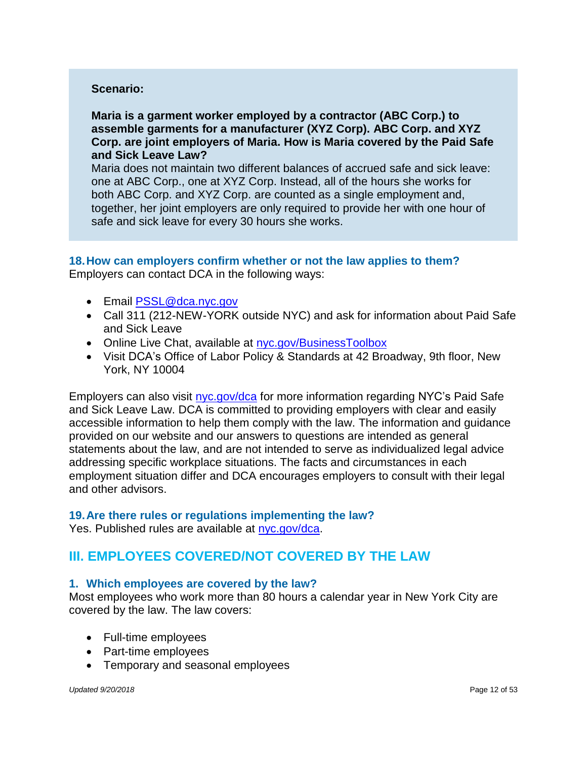### <span id="page-11-0"></span>**Scenario:**

**Maria is a garment worker employed by a contractor (ABC Corp.) to assemble garments for a manufacturer (XYZ Corp). ABC Corp. and XYZ Corp. are joint employers of Maria. How is Maria covered by the Paid Safe and Sick Leave Law?** 

Maria does not maintain two different balances of accrued safe and sick leave: one at ABC Corp., one at XYZ Corp. Instead, all of the hours she works for both ABC Corp. and XYZ Corp. are counted as a single employment and, together, her joint employers are only required to provide her with one hour of safe and sick leave for every 30 hours she works.

#### **18.How can employers confirm whether or not the law applies to them?** Employers can contact DCA in the following ways:

- Email [PSSL@dca.nyc.gov](mailto:PSSL@dca.nyc.gov)
- Call 311 (212-NEW-YORK outside NYC) and ask for information about Paid Safe and Sick Leave
- Online Live Chat, available at [nyc.gov/BusinessToolbox](http://www1.nyc.gov/site/dca/businesses/live-chat.page)
- Visit DCA's Office of Labor Policy & Standards at 42 Broadway, 9th floor, New York, NY 10004

Employers can also visit [nyc.gov/dca](https://www1.nyc.gov/site/dca/about/paid-sick-leave-law.page) for more information regarding NYC's Paid Safe and Sick Leave Law. DCA is committed to providing employers with clear and easily accessible information to help them comply with the law. The information and guidance provided on our website and our answers to questions are intended as general statements about the law, and are not intended to serve as individualized legal advice addressing specific workplace situations. The facts and circumstances in each employment situation differ and DCA encourages employers to consult with their legal and other advisors.

#### **19.Are there rules or regulations implementing the law?**

Yes. Published rules are available at [nyc.gov/dca.](https://www1.nyc.gov/site/dca/businesses/paid-sick-leave-law-for-employers.page#laws)

## **III. EMPLOYEES COVERED/NOT COVERED BY THE LAW**

#### **1. Which employees are covered by the law?**

Most employees who work more than 80 hours a calendar year in New York City are covered by the law. The law covers:

- Full-time employees
- Part-time employees
- Temporary and seasonal employees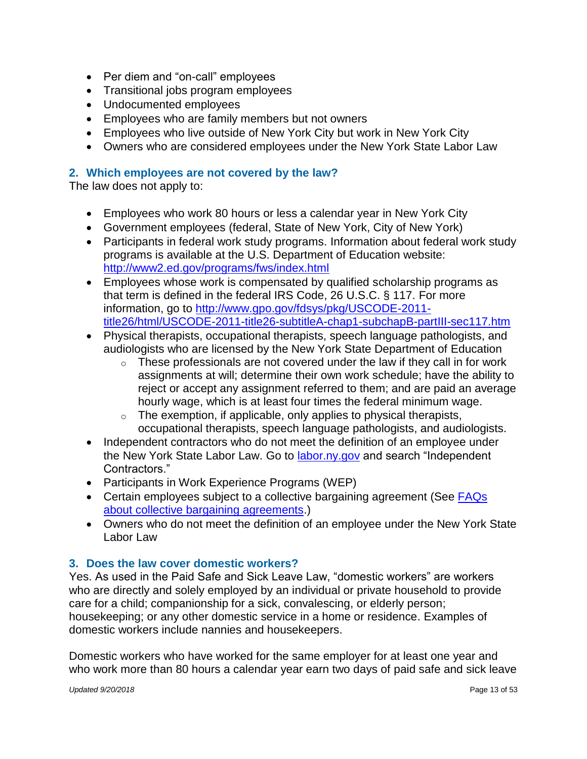- Per diem and "on-call" employees
- Transitional jobs program employees
- Undocumented employees
- Employees who are family members but not owners
- Employees who live outside of New York City but work in New York City
- Owners who are considered employees under the New York State Labor Law

### **2. Which employees are not covered by the law?**

The law does not apply to:

- Employees who work 80 hours or less a calendar year in New York City
- Government employees (federal, State of New York, City of New York)
- Participants in federal work study programs. Information about federal work study programs is available at the U.S. Department of Education website: <http://www2.ed.gov/programs/fws/index.html>
- Employees whose work is compensated by qualified scholarship programs as that term is defined in the federal IRS Code, 26 U.S.C. § 117. For more information, go to [http://www.gpo.gov/fdsys/pkg/USCODE-2011](http://www.gpo.gov/fdsys/pkg/USCODE-2011-title26/html/USCODE-2011-title26-subtitleA-chap1-subchapB-partIII-sec117.htm) [title26/html/USCODE-2011-title26-subtitleA-chap1-subchapB-partIII-sec117.htm](http://www.gpo.gov/fdsys/pkg/USCODE-2011-title26/html/USCODE-2011-title26-subtitleA-chap1-subchapB-partIII-sec117.htm)
- Physical therapists, occupational therapists, speech language pathologists, and audiologists who are licensed by the New York State Department of Education
	- $\circ$  These professionals are not covered under the law if they call in for work assignments at will; determine their own work schedule; have the ability to reject or accept any assignment referred to them; and are paid an average hourly wage, which is at least four times the federal minimum wage.
	- $\circ$  The exemption, if applicable, only applies to physical therapists, occupational therapists, speech language pathologists, and audiologists.
- Independent contractors who do not meet the definition of an employee under the New York State Labor Law. Go to [labor.ny.gov](https://www.labor.ny.gov/home/) and search "Independent" Contractors."
- Participants in Work Experience Programs (WEP)
- Certain employees subject to a collective bargaining agreement (See FAQs [about collective bargaining agreements.](#page-16-0))
- Owners who do not meet the definition of an employee under the New York State Labor Law

### **3. Does the law cover domestic workers?**

Yes. As used in the Paid Safe and Sick Leave Law, "domestic workers" are workers who are directly and solely employed by an individual or private household to provide care for a child; companionship for a sick, convalescing, or elderly person; housekeeping; or any other domestic service in a home or residence. Examples of domestic workers include nannies and housekeepers.

Domestic workers who have worked for the same employer for at least one year and who work more than 80 hours a calendar year earn two days of paid safe and sick leave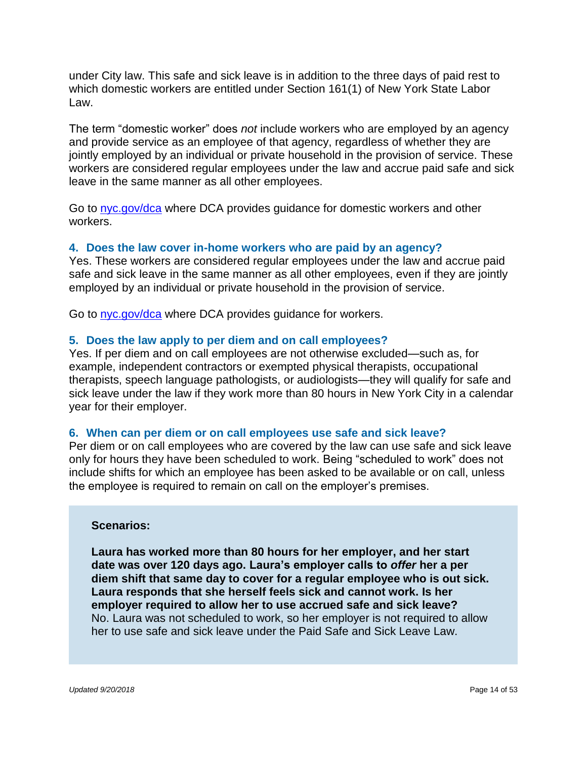under City law. This safe and sick leave is in addition to the three days of paid rest to which domestic workers are entitled under Section 161(1) of New York State Labor Law.

The term "domestic worker" does *not* include workers who are employed by an agency and provide service as an employee of that agency, regardless of whether they are jointly employed by an individual or private household in the provision of service. These workers are considered regular employees under the law and accrue paid safe and sick leave in the same manner as all other employees.

Go to [nyc.gov/dca](https://www1.nyc.gov/site/dca/workers/workersrights/paid-sick-leave-law-for-workers.page) where DCA provides guidance for domestic workers and other workers.

### **4. Does the law cover in-home workers who are paid by an agency?**

Yes. These workers are considered regular employees under the law and accrue paid safe and sick leave in the same manner as all other employees, even if they are jointly employed by an individual or private household in the provision of service.

Go to [nyc.gov/dca](https://www1.nyc.gov/site/dca/workers/workersrights/paid-sick-leave-law-for-workers.page) where DCA provides guidance for workers.

#### **5. Does the law apply to per diem and on call employees?**

Yes. If per diem and on call employees are not otherwise excluded—such as, for example, independent contractors or exempted physical therapists, occupational therapists, speech language pathologists, or audiologists—they will qualify for safe and sick leave under the law if they work more than 80 hours in New York City in a calendar year for their employer.

#### **6. When can per diem or on call employees use safe and sick leave?**

Per diem or on call employees who are covered by the law can use safe and sick leave only for hours they have been scheduled to work. Being "scheduled to work" does not include shifts for which an employee has been asked to be available or on call, unless the employee is required to remain on call on the employer's premises.

#### **Scenarios:**

**Laura has worked more than 80 hours for her employer, and her start date was over 120 days ago. Laura's employer calls to** *offer* **her a per diem shift that same day to cover for a regular employee who is out sick. Laura responds that she herself feels sick and cannot work. Is her employer required to allow her to use accrued safe and sick leave?** No. Laura was not scheduled to work, so her employer is not required to allow her to use safe and sick leave under the Paid Safe and Sick Leave Law.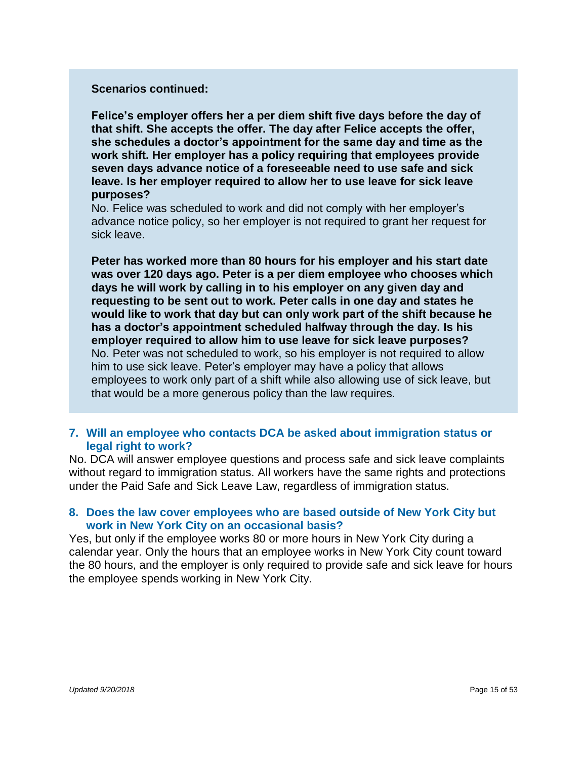#### **Scenarios continued:**

**Felice's employer offers her a per diem shift five days before the day of that shift. She accepts the offer. The day after Felice accepts the offer, she schedules a doctor's appointment for the same day and time as the work shift. Her employer has a policy requiring that employees provide seven days advance notice of a foreseeable need to use safe and sick leave. Is her employer required to allow her to use leave for sick leave purposes?** 

No. Felice was scheduled to work and did not comply with her employer's advance notice policy, so her employer is not required to grant her request for sick leave.

**Peter has worked more than 80 hours for his employer and his start date was over 120 days ago. Peter is a per diem employee who chooses which days he will work by calling in to his employer on any given day and requesting to be sent out to work. Peter calls in one day and states he would like to work that day but can only work part of the shift because he has a doctor's appointment scheduled halfway through the day. Is his employer required to allow him to use leave for sick leave purposes?**  No. Peter was not scheduled to work, so his employer is not required to allow him to use sick leave. Peter's employer may have a policy that allows employees to work only part of a shift while also allowing use of sick leave, but that would be a more generous policy than the law requires.

### **7. Will an employee who contacts DCA be asked about immigration status or legal right to work?**

No. DCA will answer employee questions and process safe and sick leave complaints without regard to immigration status. All workers have the same rights and protections under the Paid Safe and Sick Leave Law, regardless of immigration status.

### **8. Does the law cover employees who are based outside of New York City but work in New York City on an occasional basis?**

Yes, but only if the employee works 80 or more hours in New York City during a calendar year. Only the hours that an employee works in New York City count toward the 80 hours, and the employer is only required to provide safe and sick leave for hours the employee spends working in New York City.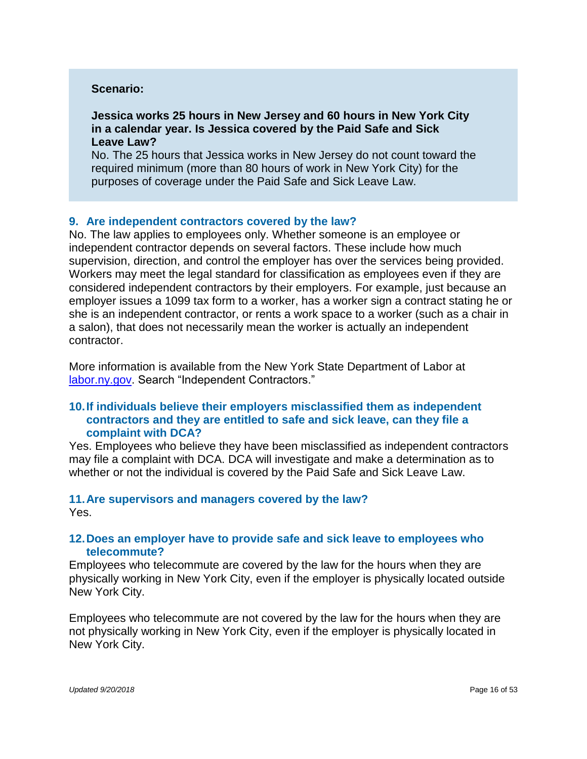#### **Scenario:**

### **Jessica works 25 hours in New Jersey and 60 hours in New York City in a calendar year. Is Jessica covered by the Paid Safe and Sick Leave Law?**

No. The 25 hours that Jessica works in New Jersey do not count toward the required minimum (more than 80 hours of work in New York City) for the purposes of coverage under the Paid Safe and Sick Leave Law.

#### **9. Are independent contractors covered by the law?**

No. The law applies to employees only. Whether someone is an employee or independent contractor depends on several factors. These include how much supervision, direction, and control the employer has over the services being provided. Workers may meet the legal standard for classification as employees even if they are considered independent contractors by their employers. For example, just because an employer issues a 1099 tax form to a worker, has a worker sign a contract stating he or she is an independent contractor, or rents a work space to a worker (such as a chair in a salon), that does not necessarily mean the worker is actually an independent contractor.

More information is available from the New York State Department of Labor at [labor.ny.gov.](https://www.labor.ny.gov/home/) Search "Independent Contractors."

### **10.If individuals believe their employers misclassified them as independent contractors and they are entitled to safe and sick leave, can they file a complaint with DCA?**

Yes. Employees who believe they have been misclassified as independent contractors may file a complaint with DCA. DCA will investigate and make a determination as to whether or not the individual is covered by the Paid Safe and Sick Leave Law.

#### **11.Are supervisors and managers covered by the law?** Yes.

#### **12.Does an employer have to provide safe and sick leave to employees who telecommute?**

Employees who telecommute are covered by the law for the hours when they are physically working in New York City, even if the employer is physically located outside New York City.

Employees who telecommute are not covered by the law for the hours when they are not physically working in New York City, even if the employer is physically located in New York City.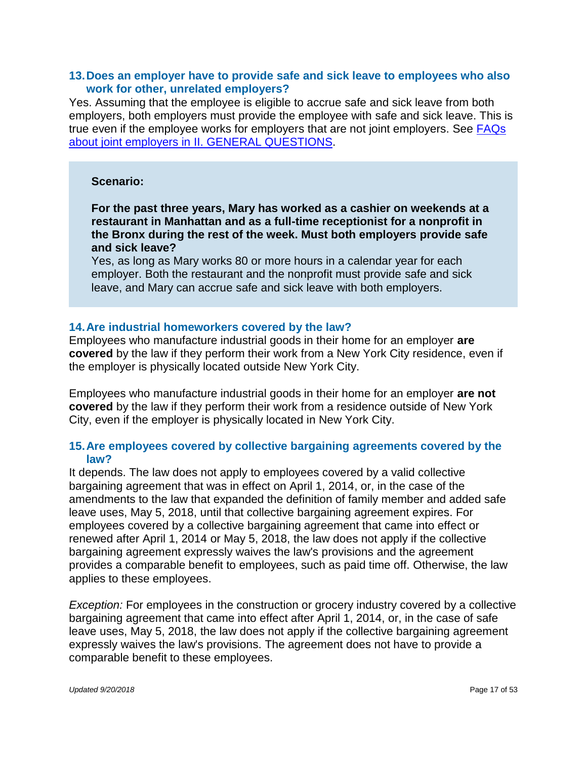#### **13.Does an employer have to provide safe and sick leave to employees who also work for other, unrelated employers?**

Yes. Assuming that the employee is eligible to accrue safe and sick leave from both employers, both employers must provide the employee with safe and sick leave. This is true even if the employee works for employers that are not joint employers. See **FAQs** [about joint employers in II. GENERAL QUESTIONS.](#page-9-0)

#### **Scenario:**

**For the past three years, Mary has worked as a cashier on weekends at a restaurant in Manhattan and as a full-time receptionist for a nonprofit in the Bronx during the rest of the week. Must both employers provide safe and sick leave?** 

Yes, as long as Mary works 80 or more hours in a calendar year for each employer. Both the restaurant and the nonprofit must provide safe and sick leave, and Mary can accrue safe and sick leave with both employers.

#### **14.Are industrial homeworkers covered by the law?**

Employees who manufacture industrial goods in their home for an employer **are covered** by the law if they perform their work from a New York City residence, even if the employer is physically located outside New York City.

Employees who manufacture industrial goods in their home for an employer **are not covered** by the law if they perform their work from a residence outside of New York City, even if the employer is physically located in New York City.

### <span id="page-16-0"></span>**15.Are employees covered by collective bargaining agreements covered by the law?**

It depends. The law does not apply to employees covered by a valid collective bargaining agreement that was in effect on April 1, 2014, or, in the case of the amendments to the law that expanded the definition of family member and added safe leave uses, May 5, 2018, until that collective bargaining agreement expires. For employees covered by a collective bargaining agreement that came into effect or renewed after April 1, 2014 or May 5, 2018, the law does not apply if the collective bargaining agreement expressly waives the law's provisions and the agreement provides a comparable benefit to employees, such as paid time off. Otherwise, the law applies to these employees.

*Exception:* For employees in the construction or grocery industry covered by a collective bargaining agreement that came into effect after April 1, 2014, or, in the case of safe leave uses, May 5, 2018, the law does not apply if the collective bargaining agreement expressly waives the law's provisions. The agreement does not have to provide a comparable benefit to these employees.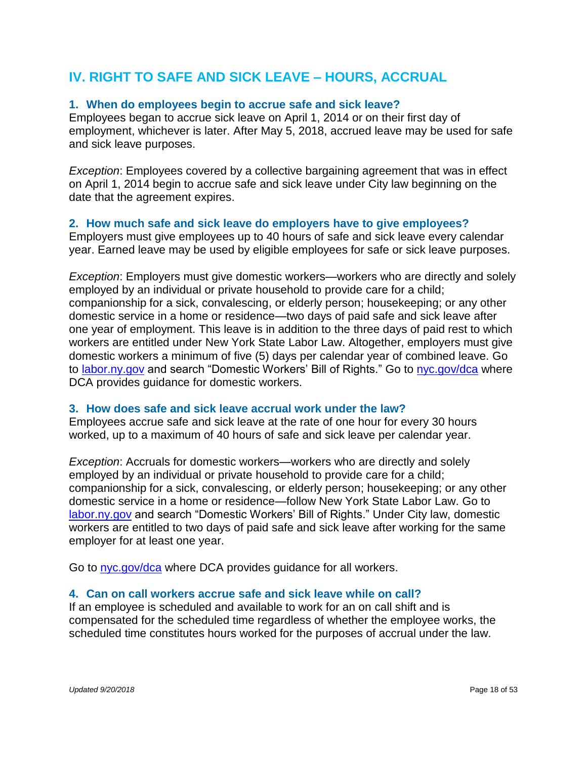## <span id="page-17-0"></span>**IV. RIGHT TO SAFE AND SICK LEAVE – HOURS, ACCRUAL**

### **1. When do employees begin to accrue safe and sick leave?**

Employees began to accrue sick leave on April 1, 2014 or on their first day of employment, whichever is later. After May 5, 2018, accrued leave may be used for safe and sick leave purposes.

*Exception*: Employees covered by a collective bargaining agreement that was in effect on April 1, 2014 begin to accrue safe and sick leave under City law beginning on the date that the agreement expires.

### **2. How much safe and sick leave do employers have to give employees?**

Employers must give employees up to 40 hours of safe and sick leave every calendar year. Earned leave may be used by eligible employees for safe or sick leave purposes.

*Exception*: Employers must give domestic workers—workers who are directly and solely employed by an individual or private household to provide care for a child; companionship for a sick, convalescing, or elderly person; housekeeping; or any other domestic service in a home or residence—two days of paid safe and sick leave after one year of employment. This leave is in addition to the three days of paid rest to which workers are entitled under New York State Labor Law. Altogether, employers must give domestic workers a minimum of five (5) days per calendar year of combined leave. Go to [labor.ny.gov](https://www.labor.ny.gov/home/) and search "Domestic Workers' Bill of Rights." Go to [nyc.gov/dca](https://www1.nyc.gov/site/dca/about/paid-sick-leave-domestic-workers.page) where DCA provides guidance for domestic workers.

### **3. How does safe and sick leave accrual work under the law?**

Employees accrue safe and sick leave at the rate of one hour for every 30 hours worked, up to a maximum of 40 hours of safe and sick leave per calendar year.

*Exception*: Accruals for domestic workers—workers who are directly and solely employed by an individual or private household to provide care for a child; companionship for a sick, convalescing, or elderly person; housekeeping; or any other domestic service in a home or residence—follow New York State Labor Law. Go to [labor.ny.gov](https://www.labor.ny.gov/home/) and search "Domestic Workers' Bill of Rights." Under City law, domestic workers are entitled to two days of paid safe and sick leave after working for the same employer for at least one year.

Go to [nyc.gov/dca](https://www1.nyc.gov/site/dca/workers/workersrights/paid-sick-leave-law-for-workers.page) where DCA provides guidance for all workers.

#### **4. Can on call workers accrue safe and sick leave while on call?**

If an employee is scheduled and available to work for an on call shift and is compensated for the scheduled time regardless of whether the employee works, the scheduled time constitutes hours worked for the purposes of accrual under the law.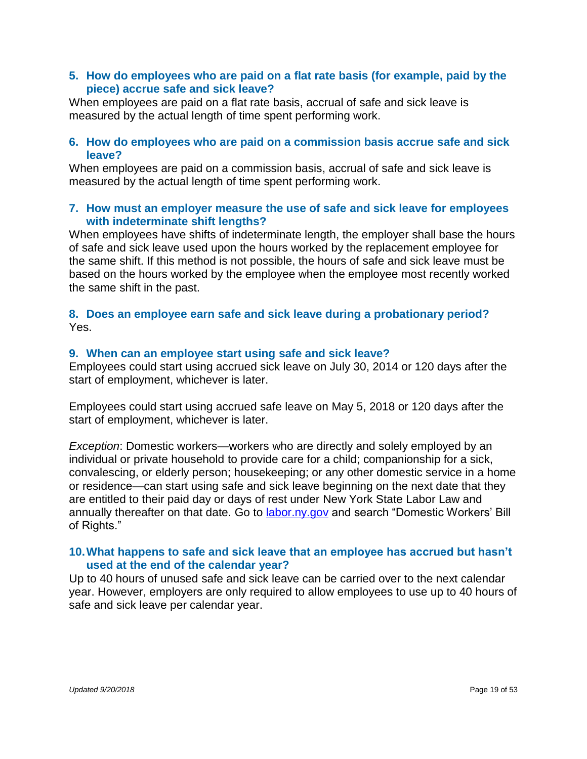### **5. How do employees who are paid on a flat rate basis (for example, paid by the piece) accrue safe and sick leave?**

When employees are paid on a flat rate basis, accrual of safe and sick leave is measured by the actual length of time spent performing work.

#### **6. How do employees who are paid on a commission basis accrue safe and sick leave?**

When employees are paid on a commission basis, accrual of safe and sick leave is measured by the actual length of time spent performing work.

#### **7. How must an employer measure the use of safe and sick leave for employees with indeterminate shift lengths?**

When employees have shifts of indeterminate length, the employer shall base the hours of safe and sick leave used upon the hours worked by the replacement employee for the same shift. If this method is not possible, the hours of safe and sick leave must be based on the hours worked by the employee when the employee most recently worked the same shift in the past.

### **8. Does an employee earn safe and sick leave during a probationary period?** Yes.

#### **9. When can an employee start using safe and sick leave?**

Employees could start using accrued sick leave on July 30, 2014 or 120 days after the start of employment, whichever is later.

Employees could start using accrued safe leave on May 5, 2018 or 120 days after the start of employment, whichever is later.

*Exception*: Domestic workers—workers who are directly and solely employed by an individual or private household to provide care for a child; companionship for a sick, convalescing, or elderly person; housekeeping; or any other domestic service in a home or residence—can start using safe and sick leave beginning on the next date that they are entitled to their paid day or days of rest under New York State Labor Law and annually thereafter on that date. Go to [labor.ny.gov](https://www.labor.ny.gov/home/) and search "Domestic Workers' Bill of Rights."

#### **10.What happens to safe and sick leave that an employee has accrued but hasn't used at the end of the calendar year?**

Up to 40 hours of unused safe and sick leave can be carried over to the next calendar year. However, employers are only required to allow employees to use up to 40 hours of safe and sick leave per calendar year.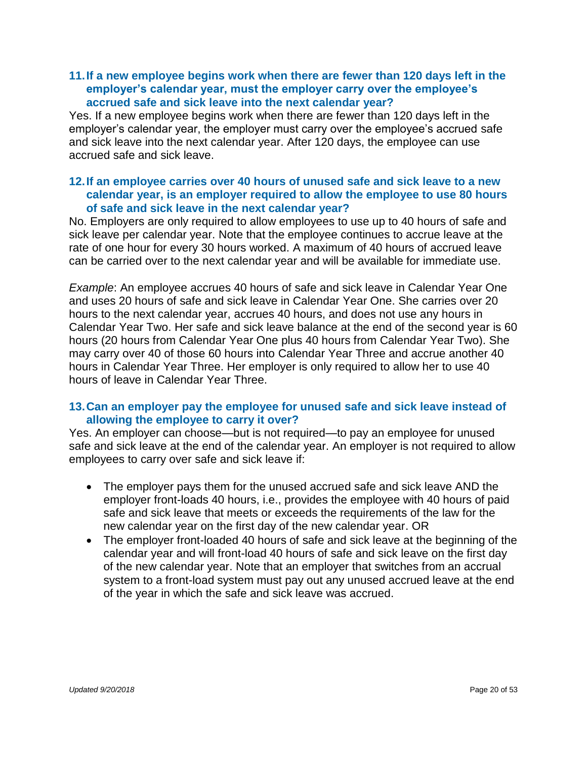### **11.If a new employee begins work when there are fewer than 120 days left in the employer's calendar year, must the employer carry over the employee's accrued safe and sick leave into the next calendar year?**

Yes. If a new employee begins work when there are fewer than 120 days left in the employer's calendar year, the employer must carry over the employee's accrued safe and sick leave into the next calendar year. After 120 days, the employee can use accrued safe and sick leave.

### **12.If an employee carries over 40 hours of unused safe and sick leave to a new calendar year, is an employer required to allow the employee to use 80 hours of safe and sick leave in the next calendar year?**

No. Employers are only required to allow employees to use up to 40 hours of safe and sick leave per calendar year. Note that the employee continues to accrue leave at the rate of one hour for every 30 hours worked. A maximum of 40 hours of accrued leave can be carried over to the next calendar year and will be available for immediate use.

*Example*: An employee accrues 40 hours of safe and sick leave in Calendar Year One and uses 20 hours of safe and sick leave in Calendar Year One. She carries over 20 hours to the next calendar year, accrues 40 hours, and does not use any hours in Calendar Year Two. Her safe and sick leave balance at the end of the second year is 60 hours (20 hours from Calendar Year One plus 40 hours from Calendar Year Two). She may carry over 40 of those 60 hours into Calendar Year Three and accrue another 40 hours in Calendar Year Three. Her employer is only required to allow her to use 40 hours of leave in Calendar Year Three.

### **13.Can an employer pay the employee for unused safe and sick leave instead of allowing the employee to carry it over?**

Yes. An employer can choose—but is not required—to pay an employee for unused safe and sick leave at the end of the calendar year. An employer is not required to allow employees to carry over safe and sick leave if:

- The employer pays them for the unused accrued safe and sick leave AND the employer front-loads 40 hours, i.e., provides the employee with 40 hours of paid safe and sick leave that meets or exceeds the requirements of the law for the new calendar year on the first day of the new calendar year. OR
- The employer front-loaded 40 hours of safe and sick leave at the beginning of the calendar year and will front-load 40 hours of safe and sick leave on the first day of the new calendar year. Note that an employer that switches from an accrual system to a front-load system must pay out any unused accrued leave at the end of the year in which the safe and sick leave was accrued.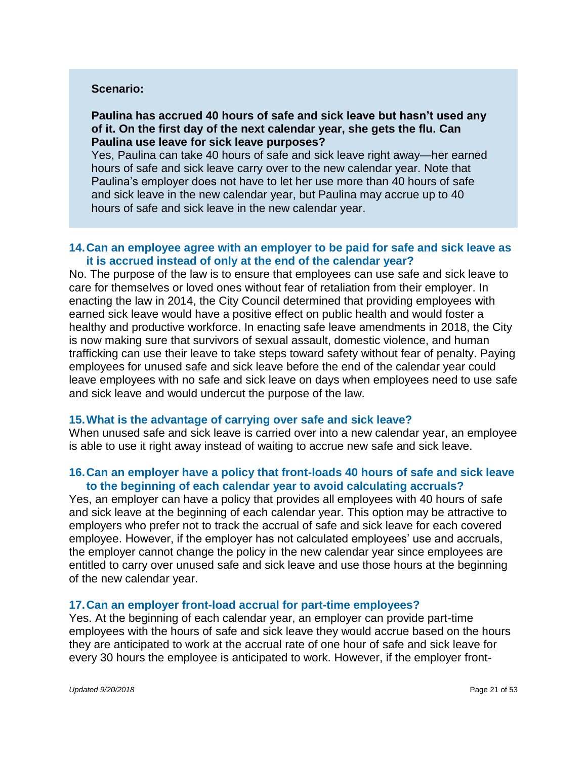#### **Scenario:**

### **Paulina has accrued 40 hours of safe and sick leave but hasn't used any of it. On the first day of the next calendar year, she gets the flu. Can Paulina use leave for sick leave purposes?**

Yes, Paulina can take 40 hours of safe and sick leave right away—her earned hours of safe and sick leave carry over to the new calendar year. Note that Paulina's employer does not have to let her use more than 40 hours of safe and sick leave in the new calendar year, but Paulina may accrue up to 40 hours of safe and sick leave in the new calendar year.

### **14.Can an employee agree with an employer to be paid for safe and sick leave as it is accrued instead of only at the end of the calendar year?**

No. The purpose of the law is to ensure that employees can use safe and sick leave to care for themselves or loved ones without fear of retaliation from their employer. In enacting the law in 2014, the City Council determined that providing employees with earned sick leave would have a positive effect on public health and would foster a healthy and productive workforce. In enacting safe leave amendments in 2018, the City is now making sure that survivors of sexual assault, domestic violence, and human trafficking can use their leave to take steps toward safety without fear of penalty. Paying employees for unused safe and sick leave before the end of the calendar year could leave employees with no safe and sick leave on days when employees need to use safe and sick leave and would undercut the purpose of the law.

#### **15.What is the advantage of carrying over safe and sick leave?**

When unused safe and sick leave is carried over into a new calendar year, an employee is able to use it right away instead of waiting to accrue new safe and sick leave.

#### **16.Can an employer have a policy that front-loads 40 hours of safe and sick leave to the beginning of each calendar year to avoid calculating accruals?**

Yes, an employer can have a policy that provides all employees with 40 hours of safe and sick leave at the beginning of each calendar year. This option may be attractive to employers who prefer not to track the accrual of safe and sick leave for each covered employee. However, if the employer has not calculated employees' use and accruals, the employer cannot change the policy in the new calendar year since employees are entitled to carry over unused safe and sick leave and use those hours at the beginning of the new calendar year.

#### **17.Can an employer front-load accrual for part-time employees?**

Yes. At the beginning of each calendar year, an employer can provide part-time employees with the hours of safe and sick leave they would accrue based on the hours they are anticipated to work at the accrual rate of one hour of safe and sick leave for every 30 hours the employee is anticipated to work. However, if the employer front-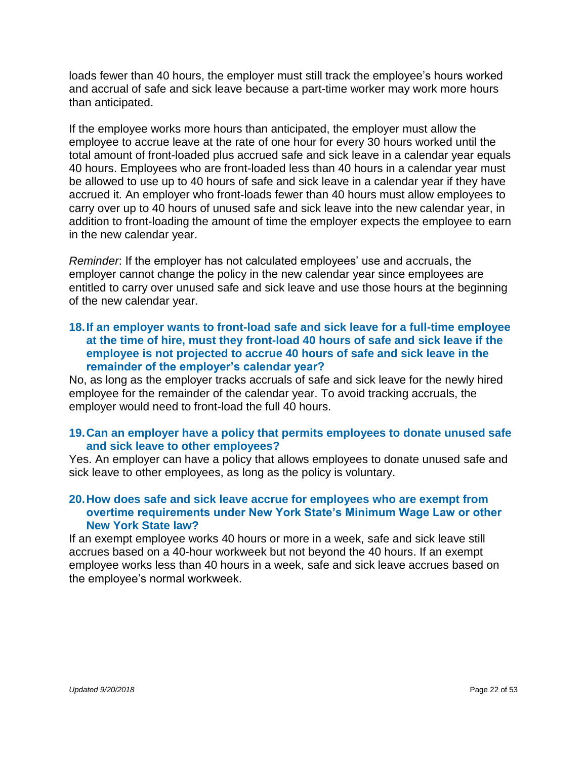loads fewer than 40 hours, the employer must still track the employee's hours worked and accrual of safe and sick leave because a part-time worker may work more hours than anticipated.

If the employee works more hours than anticipated, the employer must allow the employee to accrue leave at the rate of one hour for every 30 hours worked until the total amount of front-loaded plus accrued safe and sick leave in a calendar year equals 40 hours. Employees who are front-loaded less than 40 hours in a calendar year must be allowed to use up to 40 hours of safe and sick leave in a calendar year if they have accrued it. An employer who front-loads fewer than 40 hours must allow employees to carry over up to 40 hours of unused safe and sick leave into the new calendar year, in addition to front-loading the amount of time the employer expects the employee to earn in the new calendar year.

*Reminder*: If the employer has not calculated employees' use and accruals, the employer cannot change the policy in the new calendar year since employees are entitled to carry over unused safe and sick leave and use those hours at the beginning of the new calendar year.

### **18.If an employer wants to front-load safe and sick leave for a full-time employee at the time of hire, must they front-load 40 hours of safe and sick leave if the employee is not projected to accrue 40 hours of safe and sick leave in the remainder of the employer's calendar year?**

No, as long as the employer tracks accruals of safe and sick leave for the newly hired employee for the remainder of the calendar year. To avoid tracking accruals, the employer would need to front-load the full 40 hours.

### **19.Can an employer have a policy that permits employees to donate unused safe and sick leave to other employees?**

Yes. An employer can have a policy that allows employees to donate unused safe and sick leave to other employees, as long as the policy is voluntary.

### **20.How does safe and sick leave accrue for employees who are exempt from overtime requirements under New York State's Minimum Wage Law or other New York State law?**

If an exempt employee works 40 hours or more in a week, safe and sick leave still accrues based on a 40-hour workweek but not beyond the 40 hours. If an exempt employee works less than 40 hours in a week, safe and sick leave accrues based on the employee's normal workweek.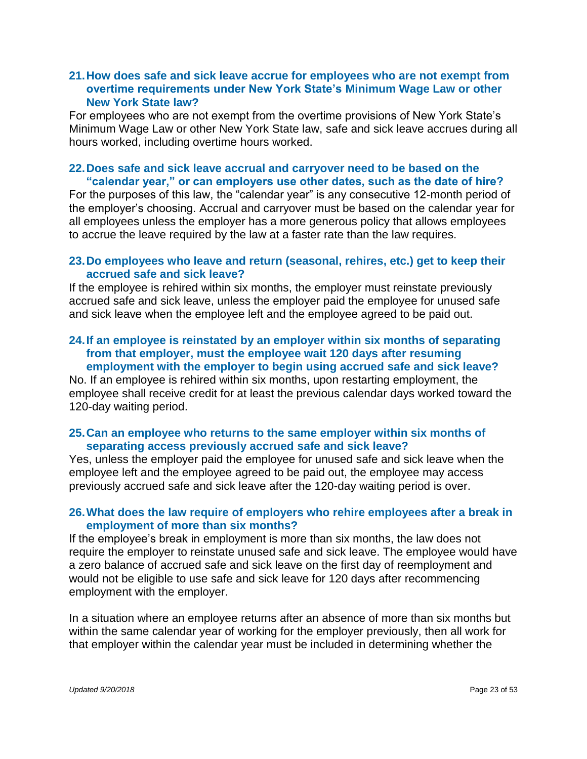### **21.How does safe and sick leave accrue for employees who are not exempt from overtime requirements under New York State's Minimum Wage Law or other New York State law?**

For employees who are not exempt from the overtime provisions of New York State's Minimum Wage Law or other New York State law, safe and sick leave accrues during all hours worked, including overtime hours worked.

### **22.Does safe and sick leave accrual and carryover need to be based on the "calendar year," or can employers use other dates, such as the date of hire?**

For the purposes of this law, the "calendar year" is any consecutive 12-month period of the employer's choosing. Accrual and carryover must be based on the calendar year for all employees unless the employer has a more generous policy that allows employees to accrue the leave required by the law at a faster rate than the law requires.

#### **23.Do employees who leave and return (seasonal, rehires, etc.) get to keep their accrued safe and sick leave?**

If the employee is rehired within six months, the employer must reinstate previously accrued safe and sick leave, unless the employer paid the employee for unused safe and sick leave when the employee left and the employee agreed to be paid out.

### **24.If an employee is reinstated by an employer within six months of separating from that employer, must the employee wait 120 days after resuming employment with the employer to begin using accrued safe and sick leave?**

No. If an employee is rehired within six months, upon restarting employment, the employee shall receive credit for at least the previous calendar days worked toward the 120-day waiting period.

### **25.Can an employee who returns to the same employer within six months of separating access previously accrued safe and sick leave?**

Yes, unless the employer paid the employee for unused safe and sick leave when the employee left and the employee agreed to be paid out, the employee may access previously accrued safe and sick leave after the 120-day waiting period is over.

### **26.What does the law require of employers who rehire employees after a break in employment of more than six months?**

If the employee's break in employment is more than six months, the law does not require the employer to reinstate unused safe and sick leave. The employee would have a zero balance of accrued safe and sick leave on the first day of reemployment and would not be eligible to use safe and sick leave for 120 days after recommencing employment with the employer.

In a situation where an employee returns after an absence of more than six months but within the same calendar year of working for the employer previously, then all work for that employer within the calendar year must be included in determining whether the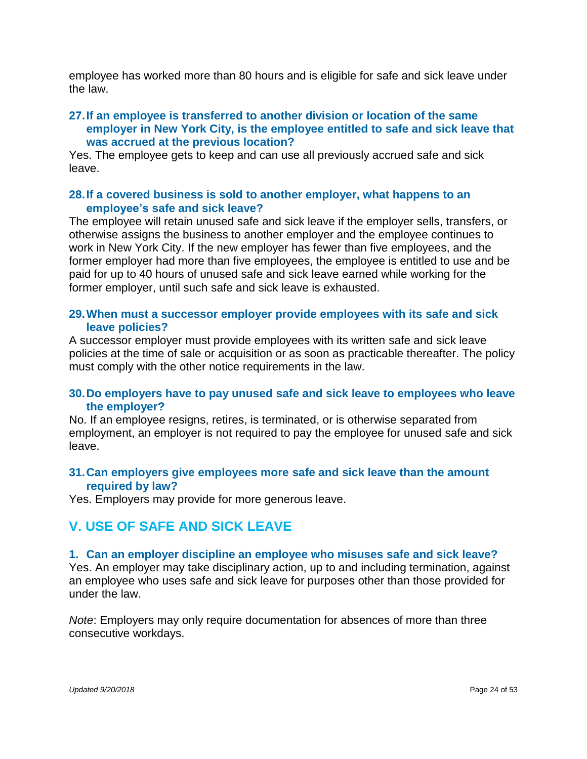<span id="page-23-0"></span>employee has worked more than 80 hours and is eligible for safe and sick leave under the law.

### **27.If an employee is transferred to another division or location of the same employer in New York City, is the employee entitled to safe and sick leave that was accrued at the previous location?**

Yes. The employee gets to keep and can use all previously accrued safe and sick leave.

### **28.If a covered business is sold to another employer, what happens to an employee's safe and sick leave?**

The employee will retain unused safe and sick leave if the employer sells, transfers, or otherwise assigns the business to another employer and the employee continues to work in New York City. If the new employer has fewer than five employees, and the former employer had more than five employees, the employee is entitled to use and be paid for up to 40 hours of unused safe and sick leave earned while working for the former employer, until such safe and sick leave is exhausted.

### **29.When must a successor employer provide employees with its safe and sick leave policies?**

A successor employer must provide employees with its written safe and sick leave policies at the time of sale or acquisition or as soon as practicable thereafter. The policy must comply with the other notice requirements in the law.

#### **30.Do employers have to pay unused safe and sick leave to employees who leave the employer?**

No. If an employee resigns, retires, is terminated, or is otherwise separated from employment, an employer is not required to pay the employee for unused safe and sick leave.

### **31.Can employers give employees more safe and sick leave than the amount required by law?**

Yes. Employers may provide for more generous leave.

## **V. USE OF SAFE AND SICK LEAVE**

#### **1. Can an employer discipline an employee who misuses safe and sick leave?** Yes. An employer may take disciplinary action, up to and including termination, against an employee who uses safe and sick leave for purposes other than those provided for under the law.

*Note*: Employers may only require documentation for absences of more than three consecutive workdays.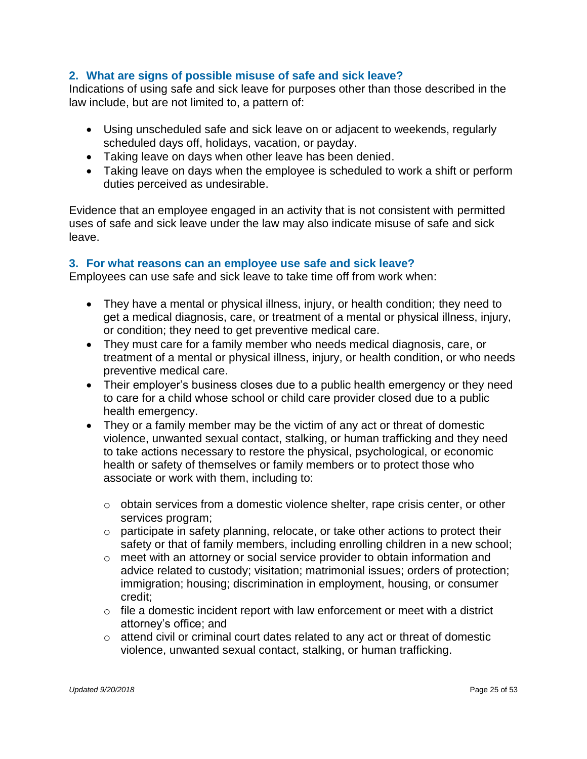### **2. What are signs of possible misuse of safe and sick leave?**

Indications of using safe and sick leave for purposes other than those described in the law include, but are not limited to, a pattern of:

- Using unscheduled safe and sick leave on or adjacent to weekends, regularly scheduled days off, holidays, vacation, or payday.
- Taking leave on days when other leave has been denied.
- Taking leave on days when the employee is scheduled to work a shift or perform duties perceived as undesirable.

Evidence that an employee engaged in an activity that is not consistent with permitted uses of safe and sick leave under the law may also indicate misuse of safe and sick leave.

### **3. For what reasons can an employee use safe and sick leave?**

Employees can use safe and sick leave to take time off from work when:

- They have a mental or physical illness, injury, or health condition; they need to get a medical diagnosis, care, or treatment of a mental or physical illness, injury, or condition; they need to get preventive medical care.
- They must care for a family member who needs medical diagnosis, care, or treatment of a mental or physical illness, injury, or health condition, or who needs preventive medical care.
- Their employer's business closes due to a public health emergency or they need to care for a child whose school or child care provider closed due to a public health emergency.
- They or a family member may be the victim of any act or threat of domestic violence, unwanted sexual contact, stalking, or human trafficking and they need to take actions necessary to restore the physical, psychological, or economic health or safety of themselves or family members or to protect those who associate or work with them, including to:
	- $\circ$  obtain services from a domestic violence shelter, rape crisis center, or other services program;
	- $\circ$  participate in safety planning, relocate, or take other actions to protect their safety or that of family members, including enrolling children in a new school;
	- o meet with an attorney or social service provider to obtain information and advice related to custody; visitation; matrimonial issues; orders of protection; immigration; housing; discrimination in employment, housing, or consumer credit;
	- $\circ$  file a domestic incident report with law enforcement or meet with a district attorney's office; and
	- $\circ$  attend civil or criminal court dates related to any act or threat of domestic violence, unwanted sexual contact, stalking, or human trafficking.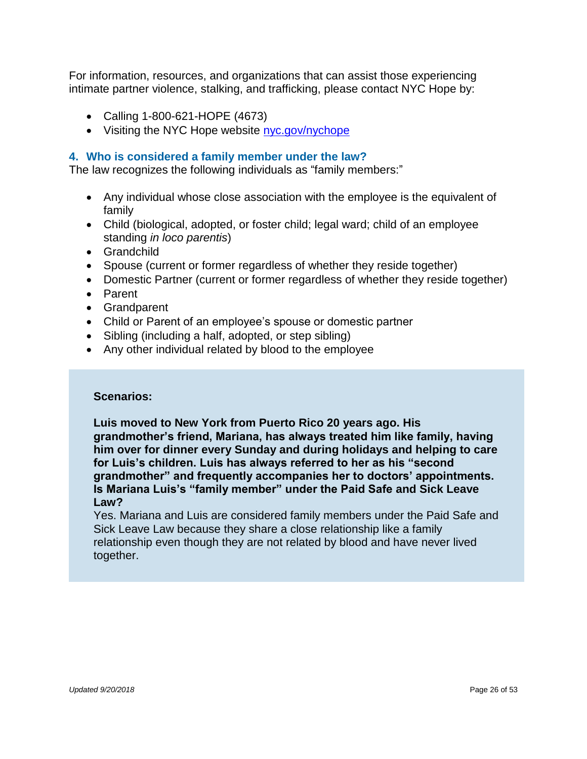For information, resources, and organizations that can assist those experiencing intimate partner violence, stalking, and trafficking, please contact NYC Hope by:

- Calling 1-800-621-HOPE (4673)
- Visiting the NYC Hope website [nyc.gov/nychope](https://www1.nyc.gov/nychope/site/page/home)

### **4. Who is considered a family member under the law?**

The law recognizes the following individuals as "family members:"

- Any individual whose close association with the employee is the equivalent of family
- Child (biological, adopted, or foster child; legal ward; child of an employee standing *in loco parentis*)
- Grandchild
- Spouse (current or former regardless of whether they reside together)
- Domestic Partner (current or former regardless of whether they reside together)
- Parent
- Grandparent
- Child or Parent of an employee's spouse or domestic partner
- Sibling (including a half, adopted, or step sibling)
- Any other individual related by blood to the employee

#### **Scenarios:**

**Luis moved to New York from Puerto Rico 20 years ago. His grandmother's friend, Mariana, has always treated him like family, having him over for dinner every Sunday and during holidays and helping to care for Luis's children. Luis has always referred to her as his "second grandmother" and frequently accompanies her to doctors' appointments. Is Mariana Luis's "family member" under the Paid Safe and Sick Leave Law?**

Yes. Mariana and Luis are considered family members under the Paid Safe and Sick Leave Law because they share a close relationship like a family relationship even though they are not related by blood and have never lived together.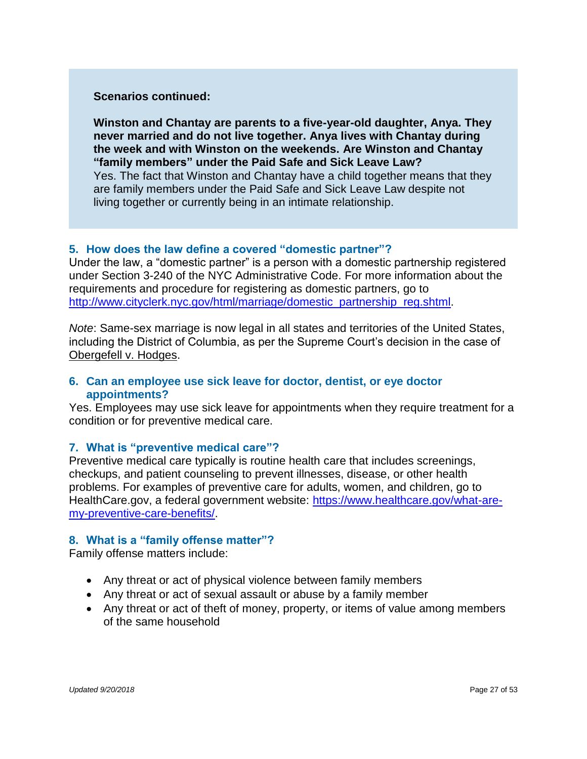### **Scenarios continued:**

**Winston and Chantay are parents to a five-year-old daughter, Anya. They never married and do not live together. Anya lives with Chantay during the week and with Winston on the weekends. Are Winston and Chantay "family members" under the Paid Safe and Sick Leave Law?** Yes. The fact that Winston and Chantay have a child together means that they are family members under the Paid Safe and Sick Leave Law despite not living together or currently being in an intimate relationship.

### **5. How does the law define a covered "domestic partner"?**

Under the law, a "domestic partner" is a person with a domestic partnership registered under Section 3-240 of the NYC Administrative Code. For more information about the requirements and procedure for registering as domestic partners, go to [http://www.cityclerk.nyc.gov/html/marriage/domestic\\_partnership\\_reg.shtml.](http://www.cityclerk.nyc.gov/html/marriage/domestic_partnership_reg.shtml)

*Note*: Same-sex marriage is now legal in all states and territories of the United States, including the District of Columbia, as per the Supreme Court's decision in the case of Obergefell v. Hodges.

#### **6. Can an employee use sick leave for doctor, dentist, or eye doctor appointments?**

Yes. Employees may use sick leave for appointments when they require treatment for a condition or for preventive medical care.

#### **7. What is "preventive medical care"?**

Preventive medical care typically is routine health care that includes screenings, checkups, and patient counseling to prevent illnesses, disease, or other health problems. For examples of preventive care for adults, women, and children, go to HealthCare.gov, a federal government website: [https://www.healthcare.gov/what-are](https://www.healthcare.gov/preventive-care-benefits/)[my-preventive-care-benefits/.](https://www.healthcare.gov/preventive-care-benefits/)

#### **8. What is a "family offense matter"?**

Family offense matters include:

- Any threat or act of physical violence between family members
- Any threat or act of sexual assault or abuse by a family member
- Any threat or act of theft of money, property, or items of value among members of the same household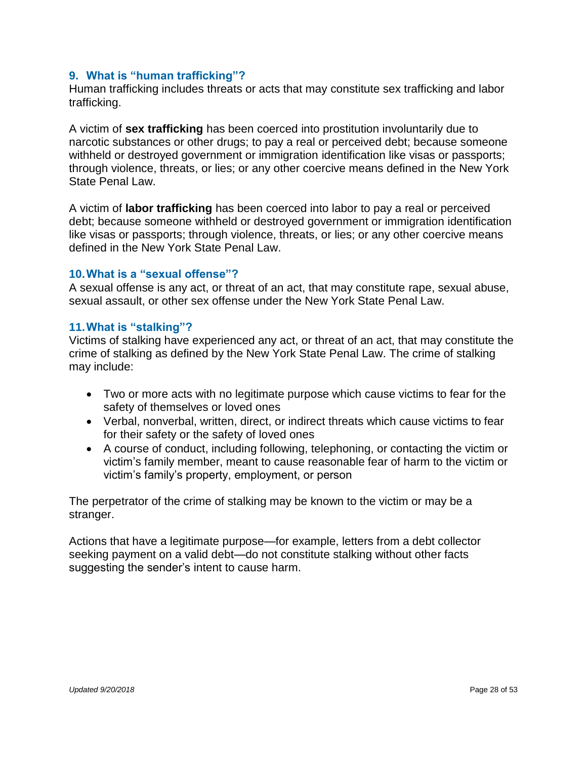### **9. What is "human trafficking"?**

Human trafficking includes threats or acts that may constitute sex trafficking and labor trafficking.

A victim of **sex trafficking** has been coerced into prostitution involuntarily due to narcotic substances or other drugs; to pay a real or perceived debt; because someone withheld or destroyed government or immigration identification like visas or passports; through violence, threats, or lies; or any other coercive means defined in the New York State Penal Law.

A victim of **labor trafficking** has been coerced into labor to pay a real or perceived debt; because someone withheld or destroyed government or immigration identification like visas or passports; through violence, threats, or lies; or any other coercive means defined in the New York State Penal Law.

#### **10.What is a "sexual offense"?**

A sexual offense is any act, or threat of an act, that may constitute rape, sexual abuse, sexual assault, or other sex offense under the New York State Penal Law.

### **11.What is "stalking"?**

Victims of stalking have experienced any act, or threat of an act, that may constitute the crime of stalking as defined by the New York State Penal Law. The crime of stalking may include:

- Two or more acts with no legitimate purpose which cause victims to fear for the safety of themselves or loved ones
- Verbal, nonverbal, written, direct, or indirect threats which cause victims to fear for their safety or the safety of loved ones
- A course of conduct, including following, telephoning, or contacting the victim or victim's family member, meant to cause reasonable fear of harm to the victim or victim's family's property, employment, or person

The perpetrator of the crime of stalking may be known to the victim or may be a stranger.

Actions that have a legitimate purpose—for example, letters from a debt collector seeking payment on a valid debt—do not constitute stalking without other facts suggesting the sender's intent to cause harm.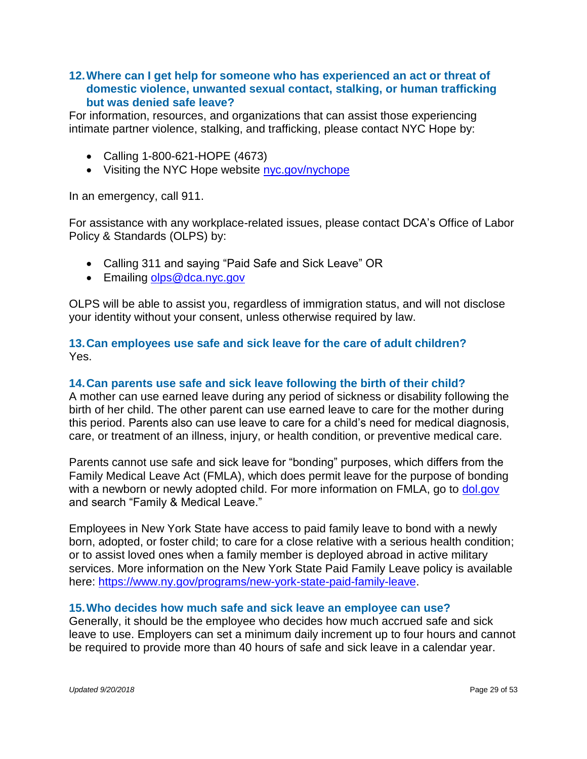### **12.Where can I get help for someone who has experienced an act or threat of domestic violence, unwanted sexual contact, stalking, or human trafficking but was denied safe leave?**

For information, resources, and organizations that can assist those experiencing intimate partner violence, stalking, and trafficking, please contact NYC Hope by:

- Calling 1-800-621-HOPE (4673)
- Visiting the NYC Hope website [nyc.gov/nychope](https://www1.nyc.gov/nychope/site/page/home)

In an emergency, call 911.

For assistance with any workplace-related issues, please contact DCA's Office of Labor Policy & Standards (OLPS) by:

- Calling 311 and saying "Paid Safe and Sick Leave" OR
- Emailing [olps@dca.nyc.gov](mailto:olps@dca.nyc.gov)

OLPS will be able to assist you, regardless of immigration status, and will not disclose your identity without your consent, unless otherwise required by law.

### **13.Can employees use safe and sick leave for the care of adult children?**  Yes.

### **14.Can parents use safe and sick leave following the birth of their child?**

A mother can use earned leave during any period of sickness or disability following the birth of her child. The other parent can use earned leave to care for the mother during this period. Parents also can use leave to care for a child's need for medical diagnosis, care, or treatment of an illness, injury, or health condition, or preventive medical care.

Parents cannot use safe and sick leave for "bonding" purposes, which differs from the Family Medical Leave Act (FMLA), which does permit leave for the purpose of bonding with a newborn or newly adopted child. For more information on FMLA, go to [dol.gov](https://www.dol.gov/) and search "Family & Medical Leave."

Employees in New York State have access to paid family leave to bond with a newly born, adopted, or foster child; to care for a close relative with a serious health condition; or to assist loved ones when a family member is deployed abroad in active military services. More information on the New York State Paid Family Leave policy is available here: [https://www.ny.gov/programs/new-york-state-paid-family-leave.](https://www.ny.gov/programs/new-york-state-paid-family-leave)

#### **15.Who decides how much safe and sick leave an employee can use?**

Generally, it should be the employee who decides how much accrued safe and sick leave to use. Employers can set a minimum daily increment up to four hours and cannot be required to provide more than 40 hours of safe and sick leave in a calendar year.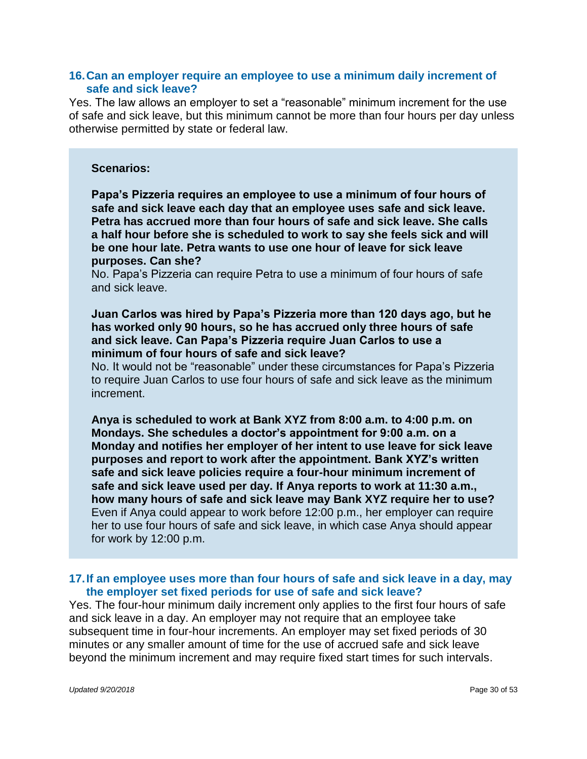#### **16.Can an employer require an employee to use a minimum daily increment of safe and sick leave?**

Yes. The law allows an employer to set a "reasonable" minimum increment for the use of safe and sick leave, but this minimum cannot be more than four hours per day unless otherwise permitted by state or federal law.

#### **Scenarios:**

**Papa's Pizzeria requires an employee to use a minimum of four hours of safe and sick leave each day that an employee uses safe and sick leave. Petra has accrued more than four hours of safe and sick leave. She calls a half hour before she is scheduled to work to say she feels sick and will be one hour late. Petra wants to use one hour of leave for sick leave purposes. Can she?** 

No. Papa's Pizzeria can require Petra to use a minimum of four hours of safe and sick leave.

**Juan Carlos was hired by Papa's Pizzeria more than 120 days ago, but he has worked only 90 hours, so he has accrued only three hours of safe and sick leave. Can Papa's Pizzeria require Juan Carlos to use a minimum of four hours of safe and sick leave?** 

No. It would not be "reasonable" under these circumstances for Papa's Pizzeria to require Juan Carlos to use four hours of safe and sick leave as the minimum increment.

**Anya is scheduled to work at Bank XYZ from 8:00 a.m. to 4:00 p.m. on Mondays. She schedules a doctor's appointment for 9:00 a.m. on a Monday and notifies her employer of her intent to use leave for sick leave purposes and report to work after the appointment. Bank XYZ's written safe and sick leave policies require a four-hour minimum increment of safe and sick leave used per day. If Anya reports to work at 11:30 a.m., how many hours of safe and sick leave may Bank XYZ require her to use?** Even if Anya could appear to work before 12:00 p.m., her employer can require her to use four hours of safe and sick leave, in which case Anya should appear for work by 12:00 p.m.

#### **17.If an employee uses more than four hours of safe and sick leave in a day, may the employer set fixed periods for use of safe and sick leave?**

Yes. The four-hour minimum daily increment only applies to the first four hours of safe and sick leave in a day. An employer may not require that an employee take subsequent time in four-hour increments. An employer may set fixed periods of 30 minutes or any smaller amount of time for the use of accrued safe and sick leave beyond the minimum increment and may require fixed start times for such intervals.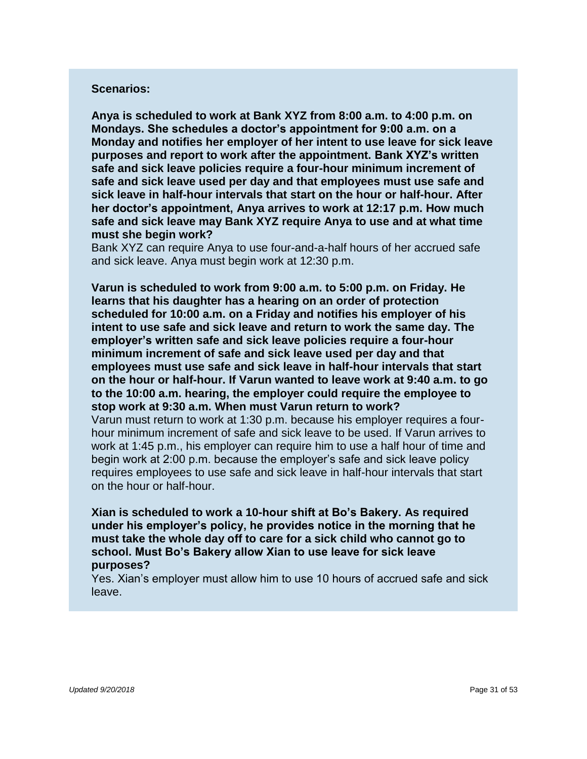#### **Scenarios:**

**Anya is scheduled to work at Bank XYZ from 8:00 a.m. to 4:00 p.m. on Mondays. She schedules a doctor's appointment for 9:00 a.m. on a Monday and notifies her employer of her intent to use leave for sick leave purposes and report to work after the appointment. Bank XYZ's written safe and sick leave policies require a four-hour minimum increment of safe and sick leave used per day and that employees must use safe and sick leave in half-hour intervals that start on the hour or half-hour. After her doctor's appointment, Anya arrives to work at 12:17 p.m. How much safe and sick leave may Bank XYZ require Anya to use and at what time must she begin work?**

Bank XYZ can require Anya to use four-and-a-half hours of her accrued safe and sick leave. Anya must begin work at 12:30 p.m.

**Varun is scheduled to work from 9:00 a.m. to 5:00 p.m. on Friday. He learns that his daughter has a hearing on an order of protection scheduled for 10:00 a.m. on a Friday and notifies his employer of his intent to use safe and sick leave and return to work the same day. The employer's written safe and sick leave policies require a four-hour minimum increment of safe and sick leave used per day and that employees must use safe and sick leave in half-hour intervals that start on the hour or half-hour. If Varun wanted to leave work at 9:40 a.m. to go to the 10:00 a.m. hearing, the employer could require the employee to stop work at 9:30 a.m. When must Varun return to work?**

Varun must return to work at 1:30 p.m. because his employer requires a fourhour minimum increment of safe and sick leave to be used. If Varun arrives to work at 1:45 p.m., his employer can require him to use a half hour of time and begin work at 2:00 p.m. because the employer's safe and sick leave policy requires employees to use safe and sick leave in half-hour intervals that start on the hour or half-hour.

**Xian is scheduled to work a 10-hour shift at Bo's Bakery. As required under his employer's policy, he provides notice in the morning that he must take the whole day off to care for a sick child who cannot go to school. Must Bo's Bakery allow Xian to use leave for sick leave purposes?** 

Yes. Xian's employer must allow him to use 10 hours of accrued safe and sick leave.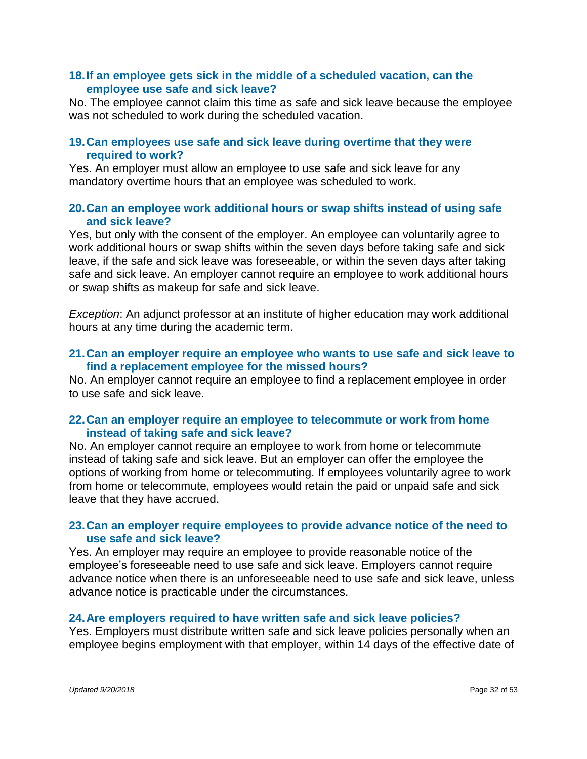#### **18.If an employee gets sick in the middle of a scheduled vacation, can the employee use safe and sick leave?**

No. The employee cannot claim this time as safe and sick leave because the employee was not scheduled to work during the scheduled vacation.

### **19.Can employees use safe and sick leave during overtime that they were required to work?**

Yes. An employer must allow an employee to use safe and sick leave for any mandatory overtime hours that an employee was scheduled to work.

### **20.Can an employee work additional hours or swap shifts instead of using safe and sick leave?**

Yes, but only with the consent of the employer. An employee can voluntarily agree to work additional hours or swap shifts within the seven days before taking safe and sick leave, if the safe and sick leave was foreseeable, or within the seven days after taking safe and sick leave. An employer cannot require an employee to work additional hours or swap shifts as makeup for safe and sick leave.

*Exception*: An adjunct professor at an institute of higher education may work additional hours at any time during the academic term.

#### **21.Can an employer require an employee who wants to use safe and sick leave to find a replacement employee for the missed hours?**

No. An employer cannot require an employee to find a replacement employee in order to use safe and sick leave.

### **22.Can an employer require an employee to telecommute or work from home instead of taking safe and sick leave?**

No. An employer cannot require an employee to work from home or telecommute instead of taking safe and sick leave. But an employer can offer the employee the options of working from home or telecommuting. If employees voluntarily agree to work from home or telecommute, employees would retain the paid or unpaid safe and sick leave that they have accrued.

### **23.Can an employer require employees to provide advance notice of the need to use safe and sick leave?**

Yes. An employer may require an employee to provide reasonable notice of the employee's foreseeable need to use safe and sick leave. Employers cannot require advance notice when there is an unforeseeable need to use safe and sick leave, unless advance notice is practicable under the circumstances.

#### **24.Are employers required to have written safe and sick leave policies?**

Yes. Employers must distribute written safe and sick leave policies personally when an employee begins employment with that employer, within 14 days of the effective date of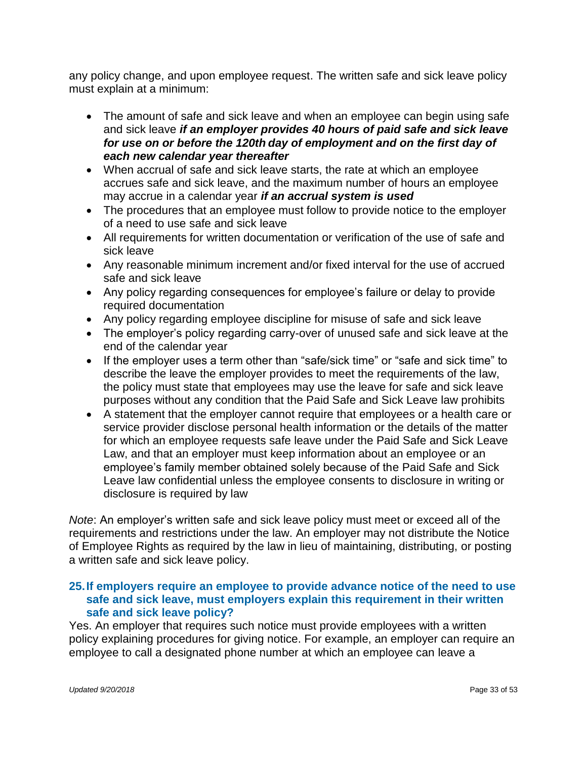any policy change, and upon employee request. The written safe and sick leave policy must explain at a minimum:

- The amount of safe and sick leave and when an employee can begin using safe and sick leave *if an employer provides 40 hours of paid safe and sick leave for use on or before the 120th day of employment and on the first day of each new calendar year thereafter*
- When accrual of safe and sick leave starts, the rate at which an employee accrues safe and sick leave, and the maximum number of hours an employee may accrue in a calendar year *if an accrual system is used*
- The procedures that an employee must follow to provide notice to the employer of a need to use safe and sick leave
- All requirements for written documentation or verification of the use of safe and sick leave
- Any reasonable minimum increment and/or fixed interval for the use of accrued safe and sick leave
- Any policy regarding consequences for employee's failure or delay to provide required documentation
- Any policy regarding employee discipline for misuse of safe and sick leave
- The employer's policy regarding carry-over of unused safe and sick leave at the end of the calendar year
- If the employer uses a term other than "safe/sick time" or "safe and sick time" to describe the leave the employer provides to meet the requirements of the law, the policy must state that employees may use the leave for safe and sick leave purposes without any condition that the Paid Safe and Sick Leave law prohibits
- A statement that the employer cannot require that employees or a health care or service provider disclose personal health information or the details of the matter for which an employee requests safe leave under the Paid Safe and Sick Leave Law, and that an employer must keep information about an employee or an employee's family member obtained solely because of the Paid Safe and Sick Leave law confidential unless the employee consents to disclosure in writing or disclosure is required by law

*Note*: An employer's written safe and sick leave policy must meet or exceed all of the requirements and restrictions under the law. An employer may not distribute the Notice of Employee Rights as required by the law in lieu of maintaining, distributing, or posting a written safe and sick leave policy.

### **25.If employers require an employee to provide advance notice of the need to use safe and sick leave, must employers explain this requirement in their written safe and sick leave policy?**

Yes. An employer that requires such notice must provide employees with a written policy explaining procedures for giving notice. For example, an employer can require an employee to call a designated phone number at which an employee can leave a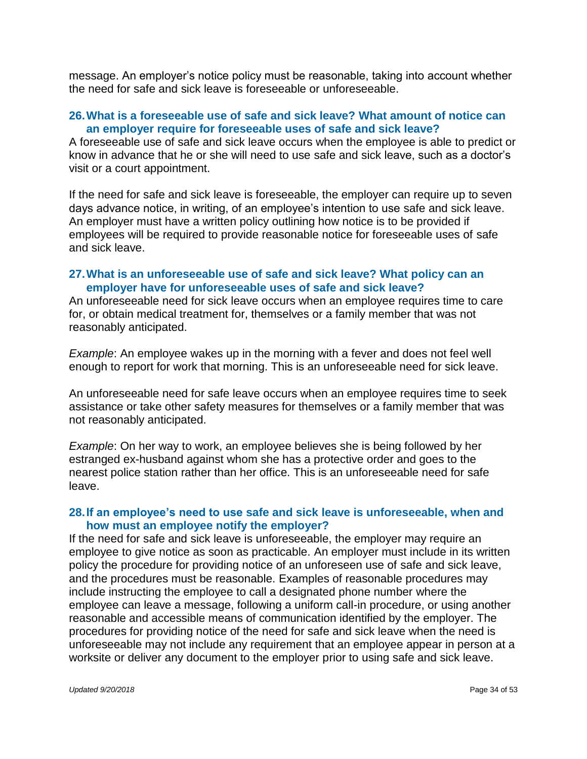message. An employer's notice policy must be reasonable, taking into account whether the need for safe and sick leave is foreseeable or unforeseeable.

#### **26.What is a foreseeable use of safe and sick leave? What amount of notice can an employer require for foreseeable uses of safe and sick leave?**

A foreseeable use of safe and sick leave occurs when the employee is able to predict or know in advance that he or she will need to use safe and sick leave, such as a doctor's visit or a court appointment.

If the need for safe and sick leave is foreseeable, the employer can require up to seven days advance notice, in writing, of an employee's intention to use safe and sick leave. An employer must have a written policy outlining how notice is to be provided if employees will be required to provide reasonable notice for foreseeable uses of safe and sick leave.

#### **27.What is an unforeseeable use of safe and sick leave? What policy can an employer have for unforeseeable uses of safe and sick leave?**

An unforeseeable need for sick leave occurs when an employee requires time to care for, or obtain medical treatment for, themselves or a family member that was not reasonably anticipated.

*Example*: An employee wakes up in the morning with a fever and does not feel well enough to report for work that morning. This is an unforeseeable need for sick leave.

An unforeseeable need for safe leave occurs when an employee requires time to seek assistance or take other safety measures for themselves or a family member that was not reasonably anticipated.

*Example*: On her way to work, an employee believes she is being followed by her estranged ex-husband against whom she has a protective order and goes to the nearest police station rather than her office. This is an unforeseeable need for safe leave.

### **28.If an employee's need to use safe and sick leave is unforeseeable, when and how must an employee notify the employer?**

If the need for safe and sick leave is unforeseeable, the employer may require an employee to give notice as soon as practicable. An employer must include in its written policy the procedure for providing notice of an unforeseen use of safe and sick leave, and the procedures must be reasonable. Examples of reasonable procedures may include instructing the employee to call a designated phone number where the employee can leave a message, following a uniform call-in procedure, or using another reasonable and accessible means of communication identified by the employer. The procedures for providing notice of the need for safe and sick leave when the need is unforeseeable may not include any requirement that an employee appear in person at a worksite or deliver any document to the employer prior to using safe and sick leave.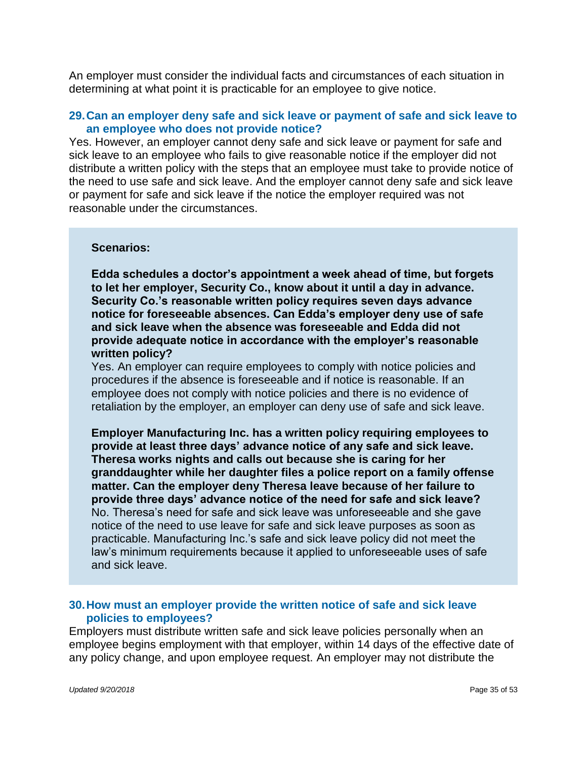An employer must consider the individual facts and circumstances of each situation in determining at what point it is practicable for an employee to give notice.

### **29.Can an employer deny safe and sick leave or payment of safe and sick leave to an employee who does not provide notice?**

Yes. However, an employer cannot deny safe and sick leave or payment for safe and sick leave to an employee who fails to give reasonable notice if the employer did not distribute a written policy with the steps that an employee must take to provide notice of the need to use safe and sick leave. And the employer cannot deny safe and sick leave or payment for safe and sick leave if the notice the employer required was not reasonable under the circumstances.

#### **Scenarios:**

**Edda schedules a doctor's appointment a week ahead of time, but forgets to let her employer, Security Co., know about it until a day in advance. Security Co.'s reasonable written policy requires seven days advance notice for foreseeable absences. Can Edda's employer deny use of safe and sick leave when the absence was foreseeable and Edda did not provide adequate notice in accordance with the employer's reasonable written policy?** 

Yes. An employer can require employees to comply with notice policies and procedures if the absence is foreseeable and if notice is reasonable. If an employee does not comply with notice policies and there is no evidence of retaliation by the employer, an employer can deny use of safe and sick leave.

**Employer Manufacturing Inc. has a written policy requiring employees to provide at least three days' advance notice of any safe and sick leave. Theresa works nights and calls out because she is caring for her granddaughter while her daughter files a police report on a family offense matter. Can the employer deny Theresa leave because of her failure to provide three days' advance notice of the need for safe and sick leave?** No. Theresa's need for safe and sick leave was unforeseeable and she gave notice of the need to use leave for safe and sick leave purposes as soon as practicable. Manufacturing Inc.'s safe and sick leave policy did not meet the law's minimum requirements because it applied to unforeseeable uses of safe and sick leave.

#### **30.How must an employer provide the written notice of safe and sick leave policies to employees?**

Employers must distribute written safe and sick leave policies personally when an employee begins employment with that employer, within 14 days of the effective date of any policy change, and upon employee request. An employer may not distribute the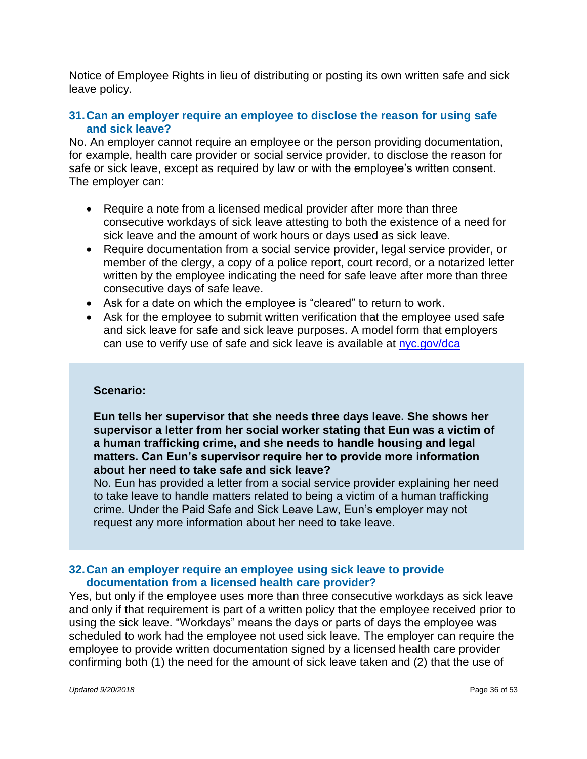Notice of Employee Rights in lieu of distributing or posting its own written safe and sick leave policy.

### **31.Can an employer require an employee to disclose the reason for using safe and sick leave?**

No. An employer cannot require an employee or the person providing documentation, for example, health care provider or social service provider, to disclose the reason for safe or sick leave, except as required by law or with the employee's written consent. The employer can:

- Require a note from a licensed medical provider after more than three consecutive workdays of sick leave attesting to both the existence of a need for sick leave and the amount of work hours or days used as sick leave.
- Require documentation from a social service provider, legal service provider, or member of the clergy, a copy of a police report, court record, or a notarized letter written by the employee indicating the need for safe leave after more than three consecutive days of safe leave.
- Ask for a date on which the employee is "cleared" to return to work.
- Ask for the employee to submit written verification that the employee used safe and sick leave for safe and sick leave purposes. A model form that employers can use to verify use of safe and sick leave is available at [nyc.gov/dca](https://www1.nyc.gov/site/dca/businesses/paid-sick-leave-law-for-employers.page#tools)

#### **Scenario:**

**Eun tells her supervisor that she needs three days leave. She shows her supervisor a letter from her social worker stating that Eun was a victim of a human trafficking crime, and she needs to handle housing and legal matters. Can Eun's supervisor require her to provide more information about her need to take safe and sick leave?**

No. Eun has provided a letter from a social service provider explaining her need to take leave to handle matters related to being a victim of a human trafficking crime. Under the Paid Safe and Sick Leave Law, Eun's employer may not request any more information about her need to take leave.

#### **32.Can an employer require an employee using sick leave to provide documentation from a licensed health care provider?**

Yes, but only if the employee uses more than three consecutive workdays as sick leave and only if that requirement is part of a written policy that the employee received prior to using the sick leave. "Workdays" means the days or parts of days the employee was scheduled to work had the employee not used sick leave. The employer can require the employee to provide written documentation signed by a licensed health care provider confirming both (1) the need for the amount of sick leave taken and (2) that the use of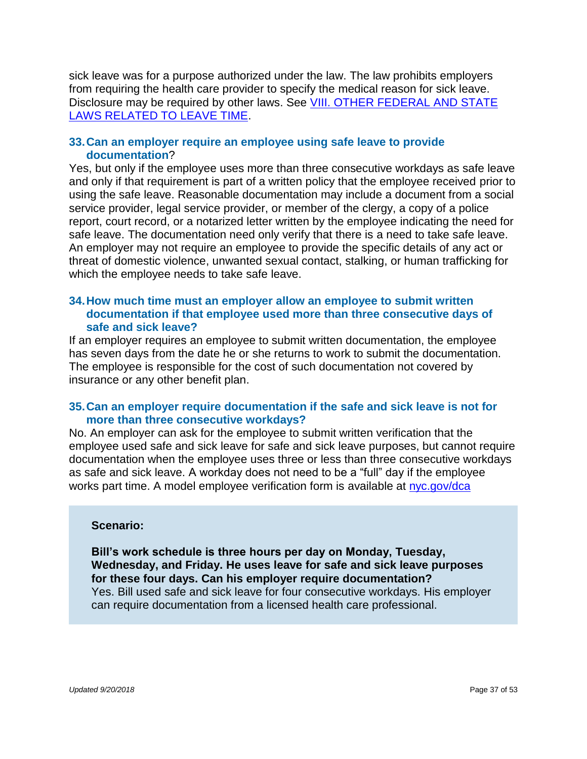sick leave was for a purpose authorized under the law. The law prohibits employers from requiring the health care provider to specify the medical reason for sick leave. Disclosure may be required by other laws. See [VIII. OTHER FEDERAL AND STATE](#page-43-1)  [LAWS RELATED TO LEAVE TIME.](#page-43-1)

### **33.Can an employer require an employee using safe leave to provide documentation**?

Yes, but only if the employee uses more than three consecutive workdays as safe leave and only if that requirement is part of a written policy that the employee received prior to using the safe leave. Reasonable documentation may include a document from a social service provider, legal service provider, or member of the clergy, a copy of a police report, court record, or a notarized letter written by the employee indicating the need for safe leave. The documentation need only verify that there is a need to take safe leave. An employer may not require an employee to provide the specific details of any act or threat of domestic violence, unwanted sexual contact, stalking, or human trafficking for which the employee needs to take safe leave.

### **34.How much time must an employer allow an employee to submit written documentation if that employee used more than three consecutive days of safe and sick leave?**

If an employer requires an employee to submit written documentation, the employee has seven days from the date he or she returns to work to submit the documentation. The employee is responsible for the cost of such documentation not covered by insurance or any other benefit plan.

### **35.Can an employer require documentation if the safe and sick leave is not for more than three consecutive workdays?**

No. An employer can ask for the employee to submit written verification that the employee used safe and sick leave for safe and sick leave purposes, but cannot require documentation when the employee uses three or less than three consecutive workdays as safe and sick leave. A workday does not need to be a "full" day if the employee works part time. A model employee verification form is available at [nyc.gov/dca](https://www1.nyc.gov/site/dca/businesses/paid-sick-leave-law-for-employers.page#tools)

#### **Scenario:**

**Bill's work schedule is three hours per day on Monday, Tuesday, Wednesday, and Friday. He uses leave for safe and sick leave purposes for these four days. Can his employer require documentation?**  Yes. Bill used safe and sick leave for four consecutive workdays. His employer can require documentation from a licensed health care professional.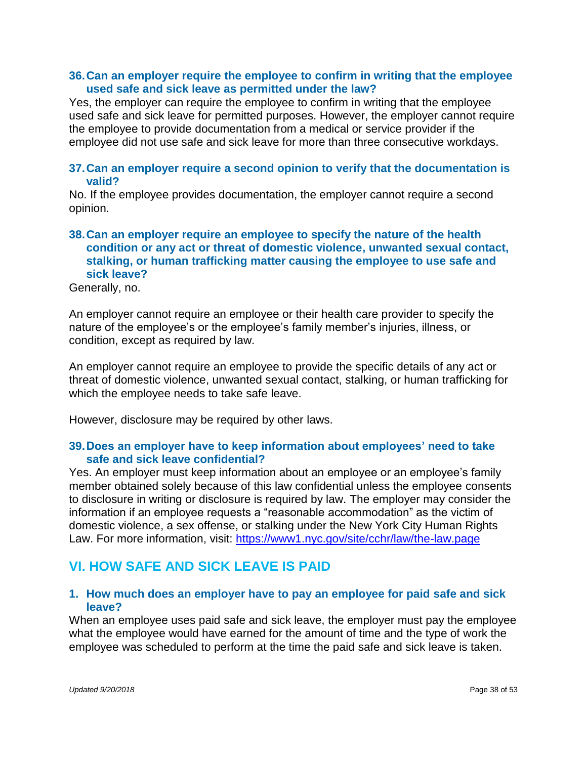#### <span id="page-37-0"></span>**36.Can an employer require the employee to confirm in writing that the employee used safe and sick leave as permitted under the law?**

Yes, the employer can require the employee to confirm in writing that the employee used safe and sick leave for permitted purposes. However, the employer cannot require the employee to provide documentation from a medical or service provider if the employee did not use safe and sick leave for more than three consecutive workdays.

#### **37.Can an employer require a second opinion to verify that the documentation is valid?**

No. If the employee provides documentation, the employer cannot require a second opinion.

### **38.Can an employer require an employee to specify the nature of the health condition or any act or threat of domestic violence, unwanted sexual contact, stalking, or human trafficking matter causing the employee to use safe and sick leave?**

Generally, no.

An employer cannot require an employee or their health care provider to specify the nature of the employee's or the employee's family member's injuries, illness, or condition, except as required by law.

An employer cannot require an employee to provide the specific details of any act or threat of domestic violence, unwanted sexual contact, stalking, or human trafficking for which the employee needs to take safe leave.

However, disclosure may be required by other laws.

### **39.Does an employer have to keep information about employees' need to take safe and sick leave confidential?**

Yes. An employer must keep information about an employee or an employee's family member obtained solely because of this law confidential unless the employee consents to disclosure in writing or disclosure is required by law. The employer may consider the information if an employee requests a "reasonable accommodation" as the victim of domestic violence, a sex offense, or stalking under the New York City Human Rights Law. For more information, visit: <https://www1.nyc.gov/site/cchr/law/the-law.page>

## **VI. HOW SAFE AND SICK LEAVE IS PAID**

#### **1. How much does an employer have to pay an employee for paid safe and sick leave?**

When an employee uses paid safe and sick leave, the employer must pay the employee what the employee would have earned for the amount of time and the type of work the employee was scheduled to perform at the time the paid safe and sick leave is taken.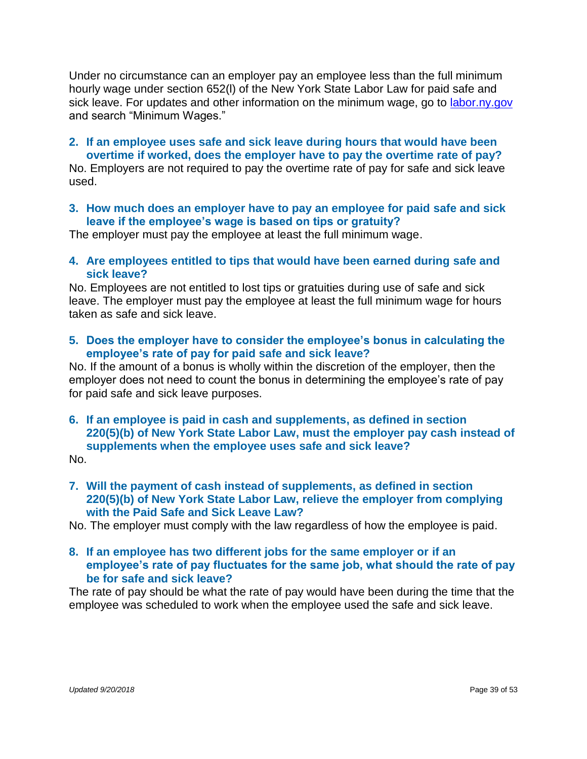Under no circumstance can an employer pay an employee less than the full minimum hourly wage under section 652(l) of the New York State Labor Law for paid safe and sick leave. For updates and other information on the minimum wage, go to [labor.ny.gov](https://www.labor.ny.gov/home/) and search "Minimum Wages."

#### **2. If an employee uses safe and sick leave during hours that would have been overtime if worked, does the employer have to pay the overtime rate of pay?**

No. Employers are not required to pay the overtime rate of pay for safe and sick leave used.

### **3. How much does an employer have to pay an employee for paid safe and sick leave if the employee's wage is based on tips or gratuity?**

The employer must pay the employee at least the full minimum wage.

### **4. Are employees entitled to tips that would have been earned during safe and sick leave?**

No. Employees are not entitled to lost tips or gratuities during use of safe and sick leave. The employer must pay the employee at least the full minimum wage for hours taken as safe and sick leave.

### **5. Does the employer have to consider the employee's bonus in calculating the employee's rate of pay for paid safe and sick leave?**

No. If the amount of a bonus is wholly within the discretion of the employer, then the employer does not need to count the bonus in determining the employee's rate of pay for paid safe and sick leave purposes.

**6. If an employee is paid in cash and supplements, as defined in section 220(5)(b) of New York State Labor Law, must the employer pay cash instead of supplements when the employee uses safe and sick leave?**

No.

**7. Will the payment of cash instead of supplements, as defined in section 220(5)(b) of New York State Labor Law, relieve the employer from complying with the Paid Safe and Sick Leave Law?**

No. The employer must comply with the law regardless of how the employee is paid.

### **8. If an employee has two different jobs for the same employer or if an employee's rate of pay fluctuates for the same job, what should the rate of pay be for safe and sick leave?**

The rate of pay should be what the rate of pay would have been during the time that the employee was scheduled to work when the employee used the safe and sick leave.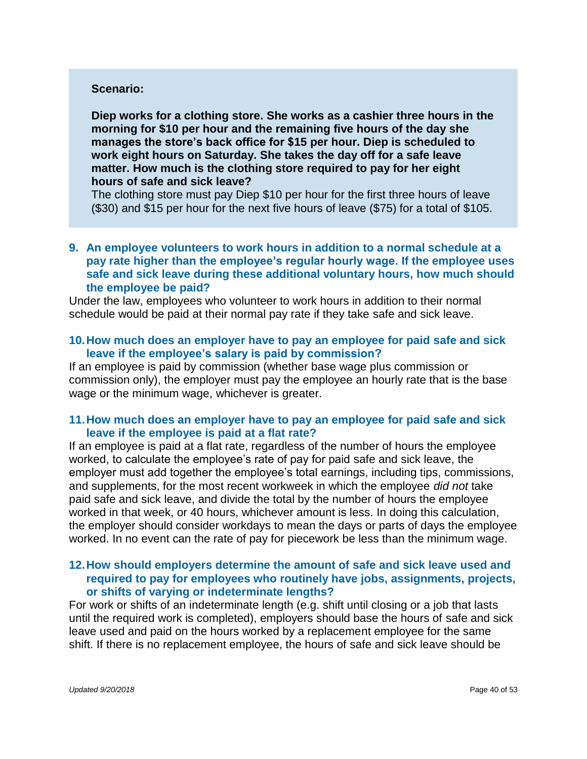#### **Scenario:**

**Diep works for a clothing store. She works as a cashier three hours in the morning for \$10 per hour and the remaining five hours of the day she manages the store's back office for \$15 per hour. Diep is scheduled to work eight hours on Saturday. She takes the day off for a safe leave matter. How much is the clothing store required to pay for her eight hours of safe and sick leave?**

The clothing store must pay Diep \$10 per hour for the first three hours of leave (\$30) and \$15 per hour for the next five hours of leave (\$75) for a total of \$105.

### **9. An employee volunteers to work hours in addition to a normal schedule at a pay rate higher than the employee's regular hourly wage. If the employee uses safe and sick leave during these additional voluntary hours, how much should the employee be paid?**

Under the law, employees who volunteer to work hours in addition to their normal schedule would be paid at their normal pay rate if they take safe and sick leave.

#### **10.How much does an employer have to pay an employee for paid safe and sick leave if the employee's salary is paid by commission?**

If an employee is paid by commission (whether base wage plus commission or commission only), the employer must pay the employee an hourly rate that is the base wage or the minimum wage, whichever is greater.

#### **11.How much does an employer have to pay an employee for paid safe and sick leave if the employee is paid at a flat rate?**

If an employee is paid at a flat rate, regardless of the number of hours the employee worked, to calculate the employee's rate of pay for paid safe and sick leave, the employer must add together the employee's total earnings, including tips, commissions, and supplements, for the most recent workweek in which the employee *did not* take paid safe and sick leave, and divide the total by the number of hours the employee worked in that week, or 40 hours, whichever amount is less. In doing this calculation, the employer should consider workdays to mean the days or parts of days the employee worked. In no event can the rate of pay for piecework be less than the minimum wage.

#### **12.How should employers determine the amount of safe and sick leave used and required to pay for employees who routinely have jobs, assignments, projects, or shifts of varying or indeterminate lengths?**

For work or shifts of an indeterminate length (e.g. shift until closing or a job that lasts until the required work is completed), employers should base the hours of safe and sick leave used and paid on the hours worked by a replacement employee for the same shift. If there is no replacement employee, the hours of safe and sick leave should be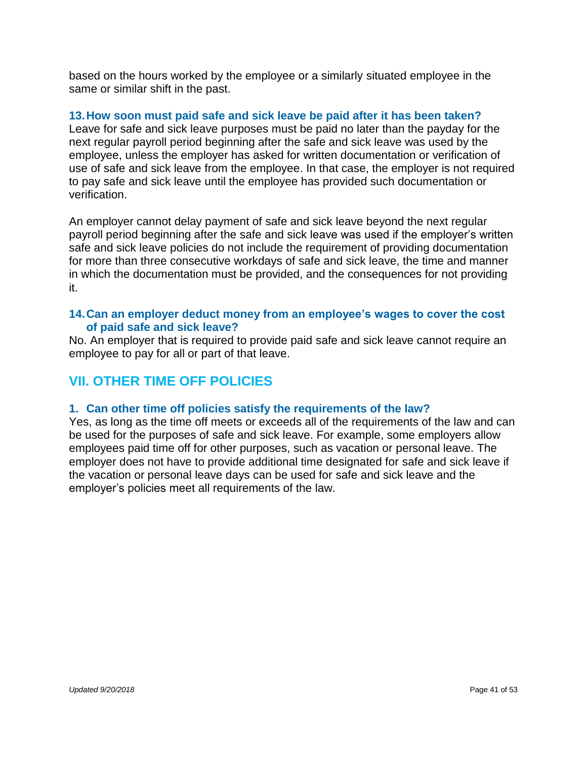<span id="page-40-0"></span>based on the hours worked by the employee or a similarly situated employee in the same or similar shift in the past.

### **13.How soon must paid safe and sick leave be paid after it has been taken?**

Leave for safe and sick leave purposes must be paid no later than the payday for the next regular payroll period beginning after the safe and sick leave was used by the employee, unless the employer has asked for written documentation or verification of use of safe and sick leave from the employee. In that case, the employer is not required to pay safe and sick leave until the employee has provided such documentation or verification.

An employer cannot delay payment of safe and sick leave beyond the next regular payroll period beginning after the safe and sick leave was used if the employer's written safe and sick leave policies do not include the requirement of providing documentation for more than three consecutive workdays of safe and sick leave, the time and manner in which the documentation must be provided, and the consequences for not providing it.

### **14.Can an employer deduct money from an employee's wages to cover the cost of paid safe and sick leave?**

No. An employer that is required to provide paid safe and sick leave cannot require an employee to pay for all or part of that leave.

## <span id="page-40-1"></span>**VII. OTHER TIME OFF POLICIES**

### **1. Can other time off policies satisfy the requirements of the law?**

Yes, as long as the time off meets or exceeds all of the requirements of the law and can be used for the purposes of safe and sick leave. For example, some employers allow employees paid time off for other purposes, such as vacation or personal leave. The employer does not have to provide additional time designated for safe and sick leave if the vacation or personal leave days can be used for safe and sick leave and the employer's policies meet all requirements of the law.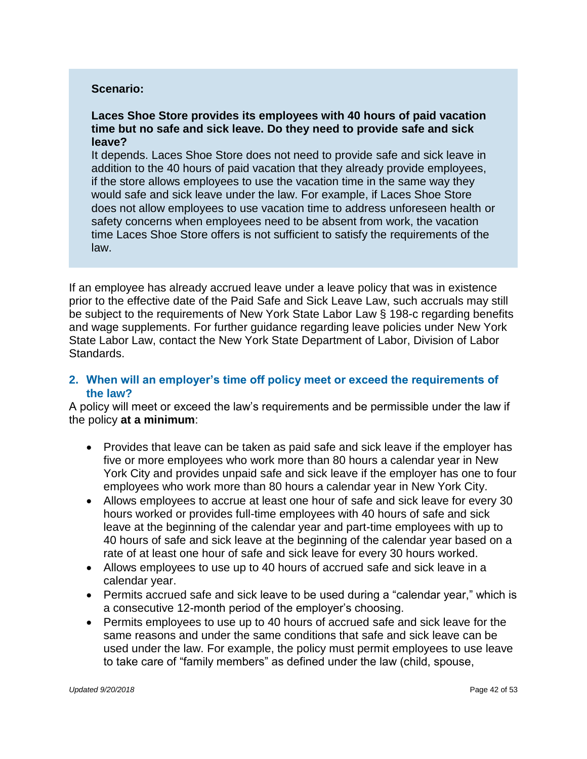#### **Scenario:**

### **Laces Shoe Store provides its employees with 40 hours of paid vacation time but no safe and sick leave. Do they need to provide safe and sick leave?**

It depends. Laces Shoe Store does not need to provide safe and sick leave in addition to the 40 hours of paid vacation that they already provide employees, if the store allows employees to use the vacation time in the same way they would safe and sick leave under the law. For example, if Laces Shoe Store does not allow employees to use vacation time to address unforeseen health or safety concerns when employees need to be absent from work, the vacation time Laces Shoe Store offers is not sufficient to satisfy the requirements of the law.

If an employee has already accrued leave under a leave policy that was in existence prior to the effective date of the Paid Safe and Sick Leave Law, such accruals may still be subject to the requirements of New York State Labor Law § 198-c regarding benefits and wage supplements. For further guidance regarding leave policies under New York State Labor Law, contact the New York State Department of Labor, Division of Labor Standards.

### **2. When will an employer's time off policy meet or exceed the requirements of the law?**

A policy will meet or exceed the law's requirements and be permissible under the law if the policy **at a minimum**:

- Provides that leave can be taken as paid safe and sick leave if the employer has five or more employees who work more than 80 hours a calendar year in New York City and provides unpaid safe and sick leave if the employer has one to four employees who work more than 80 hours a calendar year in New York City.
- Allows employees to accrue at least one hour of safe and sick leave for every 30 hours worked or provides full-time employees with 40 hours of safe and sick leave at the beginning of the calendar year and part-time employees with up to 40 hours of safe and sick leave at the beginning of the calendar year based on a rate of at least one hour of safe and sick leave for every 30 hours worked.
- Allows employees to use up to 40 hours of accrued safe and sick leave in a calendar year.
- Permits accrued safe and sick leave to be used during a "calendar year," which is a consecutive 12-month period of the employer's choosing.
- Permits employees to use up to 40 hours of accrued safe and sick leave for the same reasons and under the same conditions that safe and sick leave can be used under the law. For example, the policy must permit employees to use leave to take care of "family members" as defined under the law (child, spouse,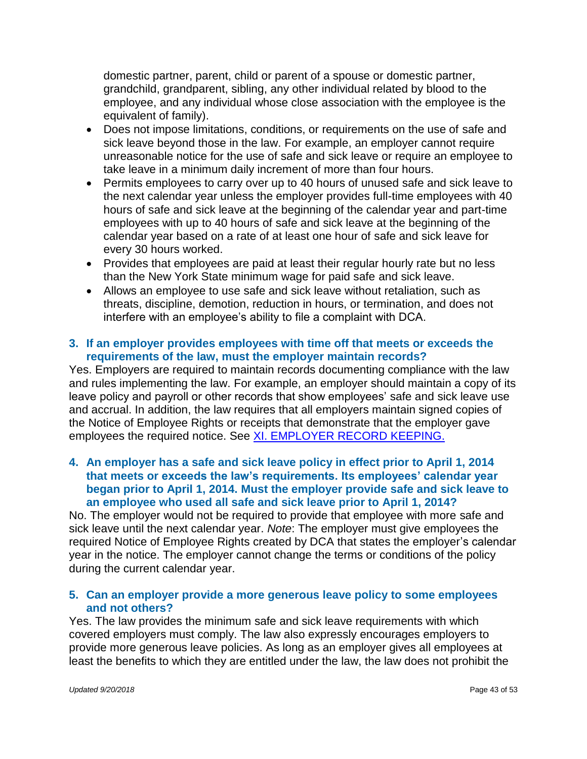domestic partner, parent, child or parent of a spouse or domestic partner, grandchild, grandparent, sibling, any other individual related by blood to the employee, and any individual whose close association with the employee is the equivalent of family).

- Does not impose limitations, conditions, or requirements on the use of safe and sick leave beyond those in the law. For example, an employer cannot require unreasonable notice for the use of safe and sick leave or require an employee to take leave in a minimum daily increment of more than four hours.
- Permits employees to carry over up to 40 hours of unused safe and sick leave to the next calendar year unless the employer provides full-time employees with 40 hours of safe and sick leave at the beginning of the calendar year and part-time employees with up to 40 hours of safe and sick leave at the beginning of the calendar year based on a rate of at least one hour of safe and sick leave for every 30 hours worked.
- Provides that employees are paid at least their regular hourly rate but no less than the New York State minimum wage for paid safe and sick leave.
- Allows an employee to use safe and sick leave without retaliation, such as threats, discipline, demotion, reduction in hours, or termination, and does not interfere with an employee's ability to file a complaint with DCA.

### **3. If an employer provides employees with time off that meets or exceeds the requirements of the law, must the employer maintain records?**

Yes. Employers are required to maintain records documenting compliance with the law and rules implementing the law. For example, an employer should maintain a copy of its leave policy and payroll or other records that show employees' safe and sick leave use and accrual. In addition, the law requires that all employers maintain signed copies of the Notice of Employee Rights or receipts that demonstrate that the employer gave employees the required notice. See [XI. EMPLOYER RECORD KEEPING.](#page-47-1)

### **4. An employer has a safe and sick leave policy in effect prior to April 1, 2014 that meets or exceeds the law's requirements. Its employees' calendar year began prior to April 1, 2014. Must the employer provide safe and sick leave to an employee who used all safe and sick leave prior to April 1, 2014?**

No. The employer would not be required to provide that employee with more safe and sick leave until the next calendar year. *Note*: The employer must give employees the required Notice of Employee Rights created by DCA that states the employer's calendar year in the notice. The employer cannot change the terms or conditions of the policy during the current calendar year.

### **5. Can an employer provide a more generous leave policy to some employees and not others?**

Yes. The law provides the minimum safe and sick leave requirements with which covered employers must comply. The law also expressly encourages employers to provide more generous leave policies. As long as an employer gives all employees at least the benefits to which they are entitled under the law, the law does not prohibit the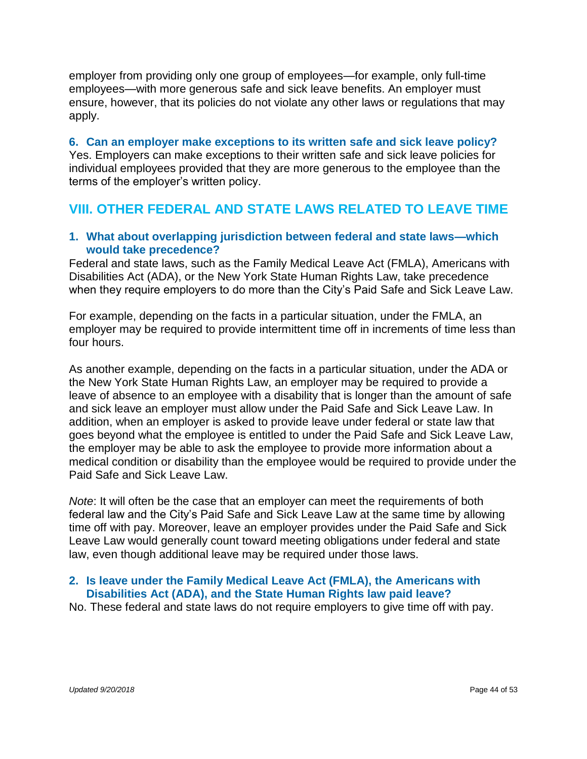<span id="page-43-0"></span>employer from providing only one group of employees—for example, only full-time employees—with more generous safe and sick leave benefits. An employer must ensure, however, that its policies do not violate any other laws or regulations that may apply.

**6. Can an employer make exceptions to its written safe and sick leave policy?** Yes. Employers can make exceptions to their written safe and sick leave policies for individual employees provided that they are more generous to the employee than the terms of the employer's written policy.

## <span id="page-43-1"></span>**VIII. OTHER FEDERAL AND STATE LAWS RELATED TO LEAVE TIME**

### **1. What about overlapping jurisdiction between federal and state laws—which would take precedence?**

Federal and state laws, such as the Family Medical Leave Act (FMLA), Americans with Disabilities Act (ADA), or the New York State Human Rights Law, take precedence when they require employers to do more than the City's Paid Safe and Sick Leave Law.

For example, depending on the facts in a particular situation, under the FMLA, an employer may be required to provide intermittent time off in increments of time less than four hours.

As another example, depending on the facts in a particular situation, under the ADA or the New York State Human Rights Law, an employer may be required to provide a leave of absence to an employee with a disability that is longer than the amount of safe and sick leave an employer must allow under the Paid Safe and Sick Leave Law. In addition, when an employer is asked to provide leave under federal or state law that goes beyond what the employee is entitled to under the Paid Safe and Sick Leave Law, the employer may be able to ask the employee to provide more information about a medical condition or disability than the employee would be required to provide under the Paid Safe and Sick Leave Law.

*Note*: It will often be the case that an employer can meet the requirements of both federal law and the City's Paid Safe and Sick Leave Law at the same time by allowing time off with pay. Moreover, leave an employer provides under the Paid Safe and Sick Leave Law would generally count toward meeting obligations under federal and state law, even though additional leave may be required under those laws.

### **2. Is leave under the Family Medical Leave Act (FMLA), the Americans with Disabilities Act (ADA), and the State Human Rights law paid leave?**

No. These federal and state laws do not require employers to give time off with pay.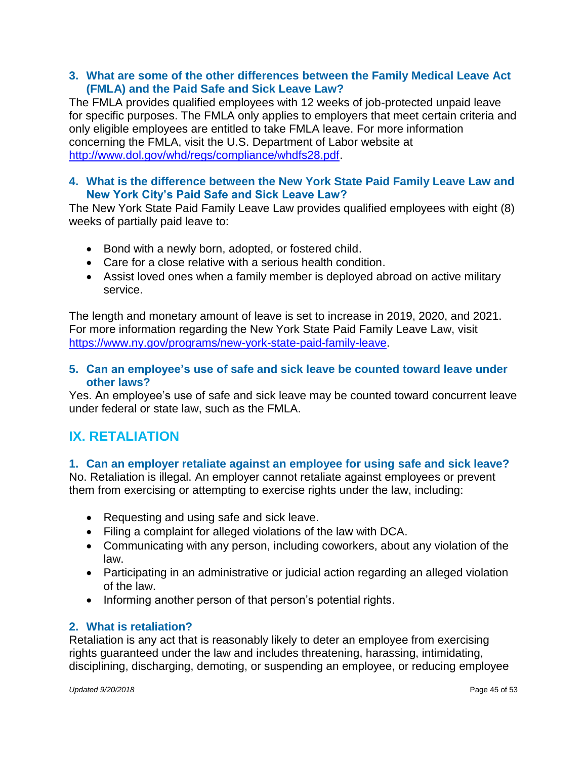### <span id="page-44-0"></span>**3. What are some of the other differences between the Family Medical Leave Act (FMLA) and the Paid Safe and Sick Leave Law?**

The FMLA provides qualified employees with 12 weeks of job-protected unpaid leave for specific purposes. The FMLA only applies to employers that meet certain criteria and only eligible employees are entitled to take FMLA leave. For more information concerning the FMLA, visit the U.S. Department of Labor website at [http://www.dol.gov/whd/regs/compliance/whdfs28.pdf.](http://www.dol.gov/whd/regs/compliance/whdfs28.pdf)

### **4. What is the difference between the New York State Paid Family Leave Law and New York City's Paid Safe and Sick Leave Law?**

The New York State Paid Family Leave Law provides qualified employees with eight (8) weeks of partially paid leave to:

- Bond with a newly born, adopted, or fostered child.
- Care for a close relative with a serious health condition.
- Assist loved ones when a family member is deployed abroad on active military service.

The length and monetary amount of leave is set to increase in 2019, 2020, and 2021. For more information regarding the New York State Paid Family Leave Law, visit [https://www.ny.gov/programs/new-york-state-paid-family-leave.](https://www.ny.gov/programs/new-york-state-paid-family-leave)

### **5. Can an employee's use of safe and sick leave be counted toward leave under other laws?**

Yes. An employee's use of safe and sick leave may be counted toward concurrent leave under federal or state law, such as the FMLA.

## **IX. RETALIATION**

### **1. Can an employer retaliate against an employee for using safe and sick leave?**

No. Retaliation is illegal. An employer cannot retaliate against employees or prevent them from exercising or attempting to exercise rights under the law, including:

- Requesting and using safe and sick leave.
- Filing a complaint for alleged violations of the law with DCA.
- Communicating with any person, including coworkers, about any violation of the law.
- Participating in an administrative or judicial action regarding an alleged violation of the law.
- Informing another person of that person's potential rights.

### **2. What is retaliation?**

Retaliation is any act that is reasonably likely to deter an employee from exercising rights guaranteed under the law and includes threatening, harassing, intimidating, disciplining, discharging, demoting, or suspending an employee, or reducing employee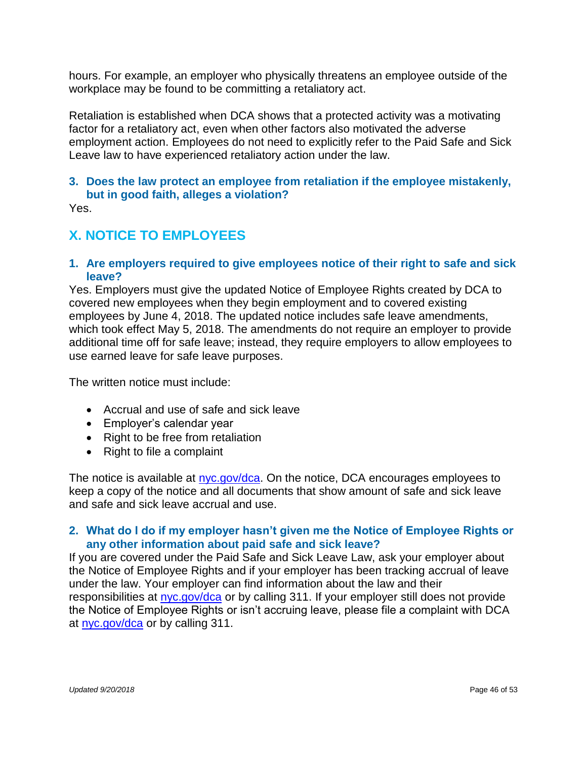<span id="page-45-0"></span>hours. For example, an employer who physically threatens an employee outside of the workplace may be found to be committing a retaliatory act.

Retaliation is established when DCA shows that a protected activity was a motivating factor for a retaliatory act, even when other factors also motivated the adverse employment action. Employees do not need to explicitly refer to the Paid Safe and Sick Leave law to have experienced retaliatory action under the law.

### **3. Does the law protect an employee from retaliation if the employee mistakenly, but in good faith, alleges a violation?**

Yes.

## <span id="page-45-1"></span>**X. NOTICE TO EMPLOYEES**

### **1. Are employers required to give employees notice of their right to safe and sick leave?**

Yes. Employers must give the updated Notice of Employee Rights created by DCA to covered new employees when they begin employment and to covered existing employees by June 4, 2018. The updated notice includes safe leave amendments, which took effect May 5, 2018. The amendments do not require an employer to provide additional time off for safe leave; instead, they require employers to allow employees to use earned leave for safe leave purposes.

The written notice must include:

- Accrual and use of safe and sick leave
- Employer's calendar year
- Right to be free from retaliation
- Right to file a complaint

The notice is available at [nyc.gov/dca.](https://www1.nyc.gov/site/dca/workers/workersrights/paid-sick-leave-law-for-workers.page) On the notice, DCA encourages employees to keep a copy of the notice and all documents that show amount of safe and sick leave and safe and sick leave accrual and use.

### **2. What do I do if my employer hasn't given me the Notice of Employee Rights or any other information about paid safe and sick leave?**

If you are covered under the Paid Safe and Sick Leave Law, ask your employer about the Notice of Employee Rights and if your employer has been tracking accrual of leave under the law. Your employer can find information about the law and their responsibilities at [nyc.gov/dca](https://www1.nyc.gov/site/dca/businesses/paid-sick-leave-law-for-employers.page) or by calling 311. If your employer still does not provide the Notice of Employee Rights or isn't accruing leave, please file a complaint with DCA at [nyc.gov/dca](https://www1.nyc.gov/site/dca/workers/workersrights/paid-sick-leave-law-for-workers.page) or by calling 311.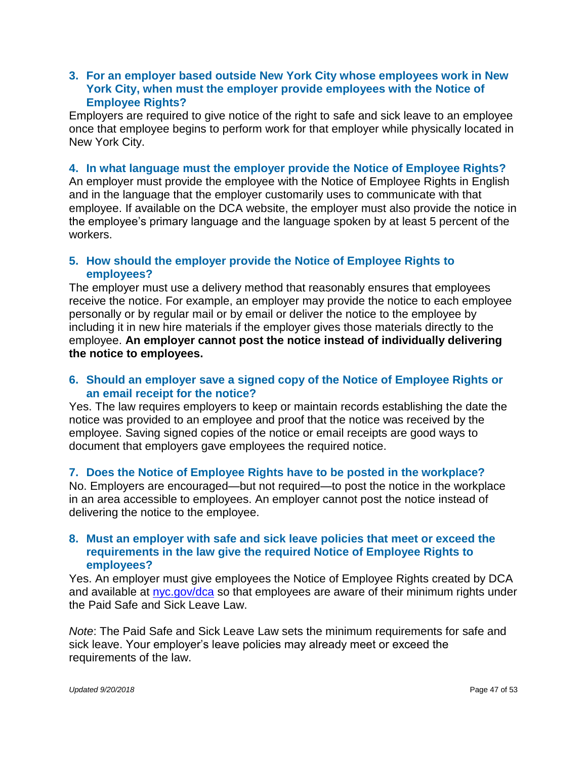### **3. For an employer based outside New York City whose employees work in New York City, when must the employer provide employees with the Notice of Employee Rights?**

Employers are required to give notice of the right to safe and sick leave to an employee once that employee begins to perform work for that employer while physically located in New York City.

### **4. In what language must the employer provide the Notice of Employee Rights?**

An employer must provide the employee with the Notice of Employee Rights in English and in the language that the employer customarily uses to communicate with that employee. If available on the DCA website, the employer must also provide the notice in the employee's primary language and the language spoken by at least 5 percent of the workers.

### **5. How should the employer provide the Notice of Employee Rights to employees?**

The employer must use a delivery method that reasonably ensures that employees receive the notice. For example, an employer may provide the notice to each employee personally or by regular mail or by email or deliver the notice to the employee by including it in new hire materials if the employer gives those materials directly to the employee. **An employer cannot post the notice instead of individually delivering the notice to employees.**

### **6. Should an employer save a signed copy of the Notice of Employee Rights or an email receipt for the notice?**

Yes. The law requires employers to keep or maintain records establishing the date the notice was provided to an employee and proof that the notice was received by the employee. Saving signed copies of the notice or email receipts are good ways to document that employers gave employees the required notice.

#### **7. Does the Notice of Employee Rights have to be posted in the workplace?**

No. Employers are encouraged—but not required—to post the notice in the workplace in an area accessible to employees. An employer cannot post the notice instead of delivering the notice to the employee.

### **8. Must an employer with safe and sick leave policies that meet or exceed the requirements in the law give the required Notice of Employee Rights to employees?**

Yes. An employer must give employees the Notice of Employee Rights created by DCA and available at [nyc.gov/dca](https://www1.nyc.gov/site/dca/businesses/paid-sick-leave-law-for-employers.page#employer) so that employees are aware of their minimum rights under the Paid Safe and Sick Leave Law.

*Note*: The Paid Safe and Sick Leave Law sets the minimum requirements for safe and sick leave. Your employer's leave policies may already meet or exceed the requirements of the law.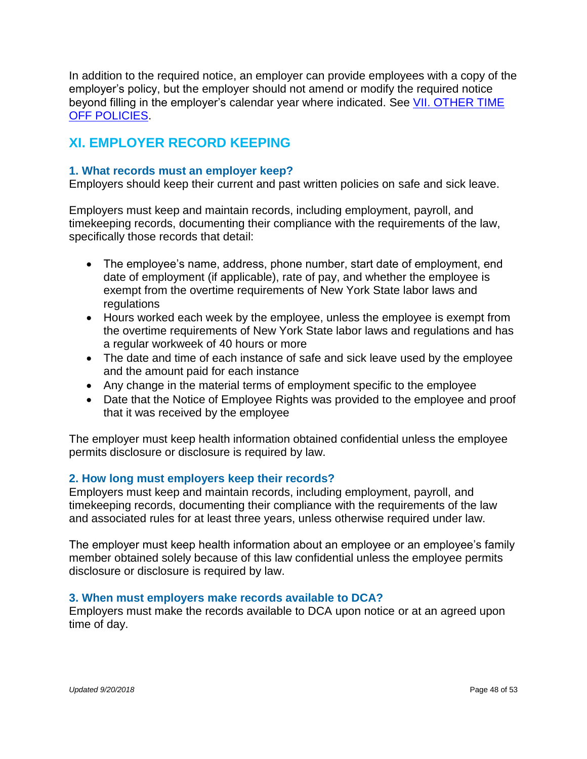<span id="page-47-0"></span>In addition to the required notice, an employer can provide employees with a copy of the employer's policy, but the employer should not amend or modify the required notice beyond filling in the employer's calendar year where indicated. See [VII. OTHER TIME](#page-40-1)  [OFF POLICIES.](#page-40-1)

## <span id="page-47-1"></span>**XI. EMPLOYER RECORD KEEPING**

### **1. What records must an employer keep?**

Employers should keep their current and past written policies on safe and sick leave.

Employers must keep and maintain records, including employment, payroll, and timekeeping records, documenting their compliance with the requirements of the law, specifically those records that detail:

- The employee's name, address, phone number, start date of employment, end date of employment (if applicable), rate of pay, and whether the employee is exempt from the overtime requirements of New York State labor laws and regulations
- Hours worked each week by the employee, unless the employee is exempt from the overtime requirements of New York State labor laws and regulations and has a regular workweek of 40 hours or more
- The date and time of each instance of safe and sick leave used by the employee and the amount paid for each instance
- Any change in the material terms of employment specific to the employee
- Date that the Notice of Employee Rights was provided to the employee and proof that it was received by the employee

The employer must keep health information obtained confidential unless the employee permits disclosure or disclosure is required by law.

### **2. How long must employers keep their records?**

Employers must keep and maintain records, including employment, payroll, and timekeeping records, documenting their compliance with the requirements of the law and associated rules for at least three years, unless otherwise required under law.

The employer must keep health information about an employee or an employee's family member obtained solely because of this law confidential unless the employee permits disclosure or disclosure is required by law.

#### **3. When must employers make records available to DCA?**

Employers must make the records available to DCA upon notice or at an agreed upon time of day.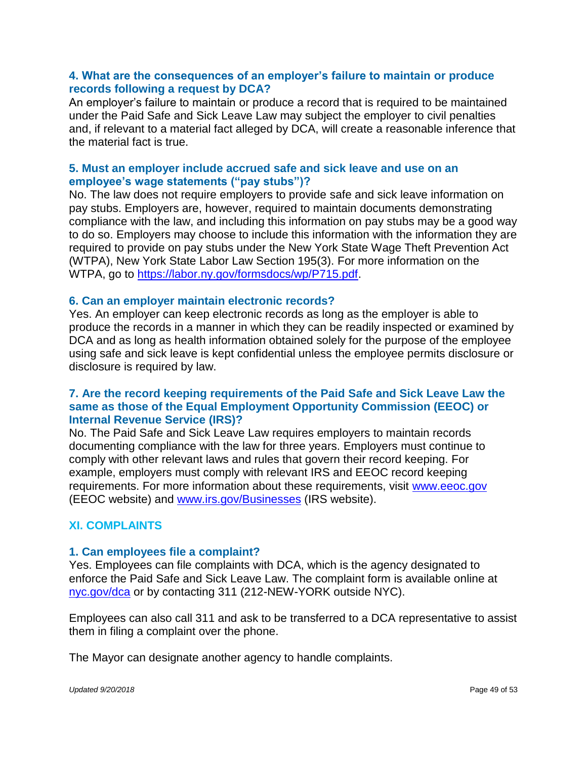### <span id="page-48-0"></span>**4. What are the consequences of an employer's failure to maintain or produce records following a request by DCA?**

An employer's failure to maintain or produce a record that is required to be maintained under the Paid Safe and Sick Leave Law may subject the employer to civil penalties and, if relevant to a material fact alleged by DCA, will create a reasonable inference that the material fact is true.

### **5. Must an employer include accrued safe and sick leave and use on an employee's wage statements ("pay stubs")?**

No. The law does not require employers to provide safe and sick leave information on pay stubs. Employers are, however, required to maintain documents demonstrating compliance with the law, and including this information on pay stubs may be a good way to do so. Employers may choose to include this information with the information they are required to provide on pay stubs under the New York State Wage Theft Prevention Act (WTPA), New York State Labor Law Section 195(3). For more information on the WTPA, go to [https://labor.ny.gov/formsdocs/wp/P715.pdf.](https://labor.ny.gov/formsdocs/wp/P715.pdf)

#### **6. Can an employer maintain electronic records?**

Yes. An employer can keep electronic records as long as the employer is able to produce the records in a manner in which they can be readily inspected or examined by DCA and as long as health information obtained solely for the purpose of the employee using safe and sick leave is kept confidential unless the employee permits disclosure or disclosure is required by law.

### **7. Are the record keeping requirements of the Paid Safe and Sick Leave Law the same as those of the Equal Employment Opportunity Commission (EEOC) or Internal Revenue Service (IRS)?**

No. The Paid Safe and Sick Leave Law requires employers to maintain records documenting compliance with the law for three years. Employers must continue to comply with other relevant laws and rules that govern their record keeping. For example, employers must comply with relevant IRS and EEOC record keeping requirements. For more information about these requirements, visit [www.eeoc.gov](http://www.eeoc.gov/) (EEOC website) and [www.irs.gov/Businesses](http://www.irs.gov/Businesses) (IRS website).

### **XI. COMPLAINTS**

#### **1. Can employees file a complaint?**

Yes. Employees can file complaints with DCA, which is the agency designated to enforce the Paid Safe and Sick Leave Law. The complaint form is available online at [nyc.gov/dca](https://www1.nyc.gov/site/dca/workers/workersrights/paid-sick-leave-law-for-workers.page) or by contacting 311 (212-NEW-YORK outside NYC).

Employees can also call 311 and ask to be transferred to a DCA representative to assist them in filing a complaint over the phone.

The Mayor can designate another agency to handle complaints.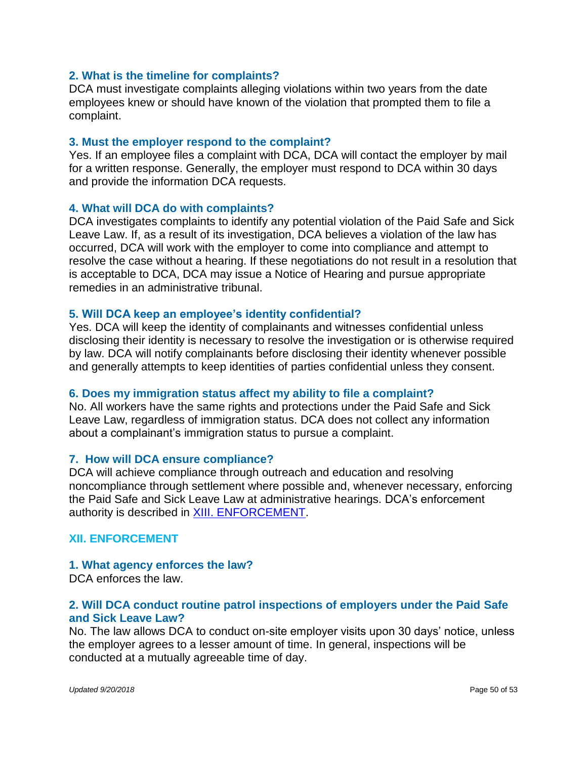#### <span id="page-49-0"></span>**2. What is the timeline for complaints?**

DCA must investigate complaints alleging violations within two years from the date employees knew or should have known of the violation that prompted them to file a complaint.

#### **3. Must the employer respond to the complaint?**

Yes. If an employee files a complaint with DCA, DCA will contact the employer by mail for a written response. Generally, the employer must respond to DCA within 30 days and provide the information DCA requests.

#### **4. What will DCA do with complaints?**

DCA investigates complaints to identify any potential violation of the Paid Safe and Sick Leave Law. If, as a result of its investigation, DCA believes a violation of the law has occurred, DCA will work with the employer to come into compliance and attempt to resolve the case without a hearing. If these negotiations do not result in a resolution that is acceptable to DCA, DCA may issue a Notice of Hearing and pursue appropriate remedies in an administrative tribunal.

#### **5. Will DCA keep an employee's identity confidential?**

Yes. DCA will keep the identity of complainants and witnesses confidential unless disclosing their identity is necessary to resolve the investigation or is otherwise required by law. DCA will notify complainants before disclosing their identity whenever possible and generally attempts to keep identities of parties confidential unless they consent.

#### **6. Does my immigration status affect my ability to file a complaint?**

No. All workers have the same rights and protections under the Paid Safe and Sick Leave Law, regardless of immigration status. DCA does not collect any information about a complainant's immigration status to pursue a complaint.

#### **7. How will DCA ensure compliance?**

DCA will achieve compliance through outreach and education and resolving noncompliance through settlement where possible and, whenever necessary, enforcing the Paid Safe and Sick Leave Law at administrative hearings. DCA's enforcement authority is described in [XIII. ENFORCEMENT.](#page-49-1)

#### <span id="page-49-1"></span>**XII. ENFORCEMENT**

#### **1. What agency enforces the law?**

DCA enforces the law.

### **2. Will DCA conduct routine patrol inspections of employers under the Paid Safe and Sick Leave Law?**

No. The law allows DCA to conduct on-site employer visits upon 30 days' notice, unless the employer agrees to a lesser amount of time. In general, inspections will be conducted at a mutually agreeable time of day.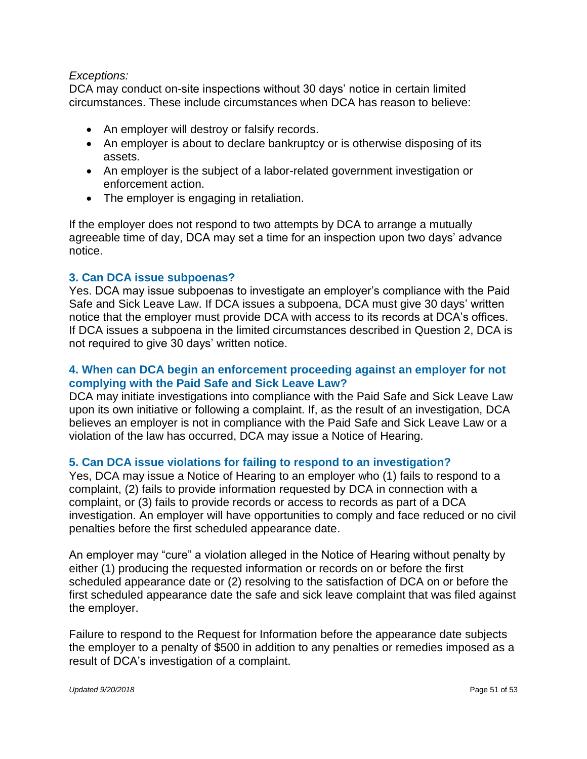### *Exceptions:*

DCA may conduct on-site inspections without 30 days' notice in certain limited circumstances. These include circumstances when DCA has reason to believe:

- An employer will destroy or falsify records.
- An employer is about to declare bankruptcy or is otherwise disposing of its assets.
- An employer is the subject of a labor-related government investigation or enforcement action.
- The employer is engaging in retaliation.

If the employer does not respond to two attempts by DCA to arrange a mutually agreeable time of day, DCA may set a time for an inspection upon two days' advance notice.

### **3. Can DCA issue subpoenas?**

Yes. DCA may issue subpoenas to investigate an employer's compliance with the Paid Safe and Sick Leave Law. If DCA issues a subpoena, DCA must give 30 days' written notice that the employer must provide DCA with access to its records at DCA's offices. If DCA issues a subpoena in the limited circumstances described in Question 2, DCA is not required to give 30 days' written notice.

### **4. When can DCA begin an enforcement proceeding against an employer for not complying with the Paid Safe and Sick Leave Law?**

DCA may initiate investigations into compliance with the Paid Safe and Sick Leave Law upon its own initiative or following a complaint. If, as the result of an investigation, DCA believes an employer is not in compliance with the Paid Safe and Sick Leave Law or a violation of the law has occurred, DCA may issue a Notice of Hearing.

### **5. Can DCA issue violations for failing to respond to an investigation?**

Yes, DCA may issue a Notice of Hearing to an employer who (1) fails to respond to a complaint, (2) fails to provide information requested by DCA in connection with a complaint, or (3) fails to provide records or access to records as part of a DCA investigation. An employer will have opportunities to comply and face reduced or no civil penalties before the first scheduled appearance date.

An employer may "cure" a violation alleged in the Notice of Hearing without penalty by either (1) producing the requested information or records on or before the first scheduled appearance date or (2) resolving to the satisfaction of DCA on or before the first scheduled appearance date the safe and sick leave complaint that was filed against the employer.

Failure to respond to the Request for Information before the appearance date subjects the employer to a penalty of \$500 in addition to any penalties or remedies imposed as a result of DCA's investigation of a complaint.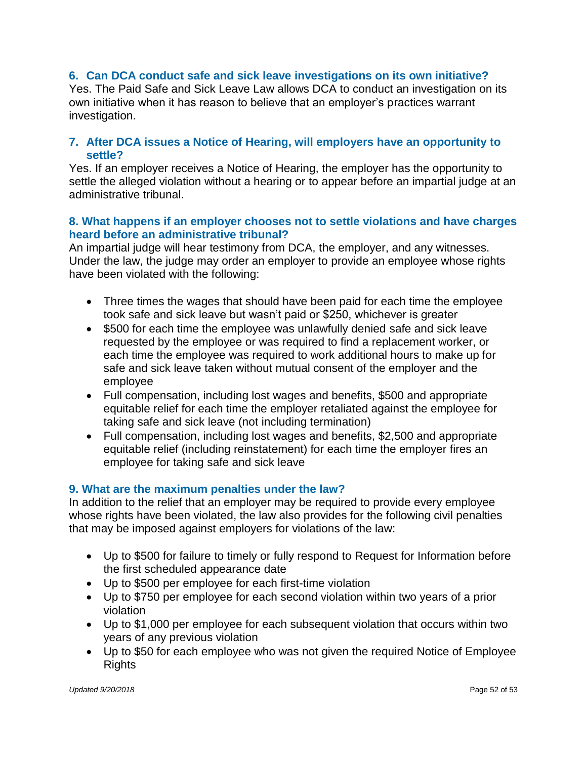### **6. Can DCA conduct safe and sick leave investigations on its own initiative?**

Yes. The Paid Safe and Sick Leave Law allows DCA to conduct an investigation on its own initiative when it has reason to believe that an employer's practices warrant investigation.

#### **7. After DCA issues a Notice of Hearing, will employers have an opportunity to settle?**

Yes. If an employer receives a Notice of Hearing, the employer has the opportunity to settle the alleged violation without a hearing or to appear before an impartial judge at an administrative tribunal.

### **8. What happens if an employer chooses not to settle violations and have charges heard before an administrative tribunal?**

An impartial judge will hear testimony from DCA, the employer, and any witnesses. Under the law, the judge may order an employer to provide an employee whose rights have been violated with the following:

- Three times the wages that should have been paid for each time the employee took safe and sick leave but wasn't paid or \$250, whichever is greater
- \$500 for each time the employee was unlawfully denied safe and sick leave requested by the employee or was required to find a replacement worker, or each time the employee was required to work additional hours to make up for safe and sick leave taken without mutual consent of the employer and the employee
- Full compensation, including lost wages and benefits, \$500 and appropriate equitable relief for each time the employer retaliated against the employee for taking safe and sick leave (not including termination)
- Full compensation, including lost wages and benefits, \$2,500 and appropriate equitable relief (including reinstatement) for each time the employer fires an employee for taking safe and sick leave

### **9. What are the maximum penalties under the law?**

In addition to the relief that an employer may be required to provide every employee whose rights have been violated, the law also provides for the following civil penalties that may be imposed against employers for violations of the law:

- Up to \$500 for failure to timely or fully respond to Request for Information before the first scheduled appearance date
- Up to \$500 per employee for each first-time violation
- Up to \$750 per employee for each second violation within two years of a prior violation
- Up to \$1,000 per employee for each subsequent violation that occurs within two years of any previous violation
- Up to \$50 for each employee who was not given the required Notice of Employee **Rights**